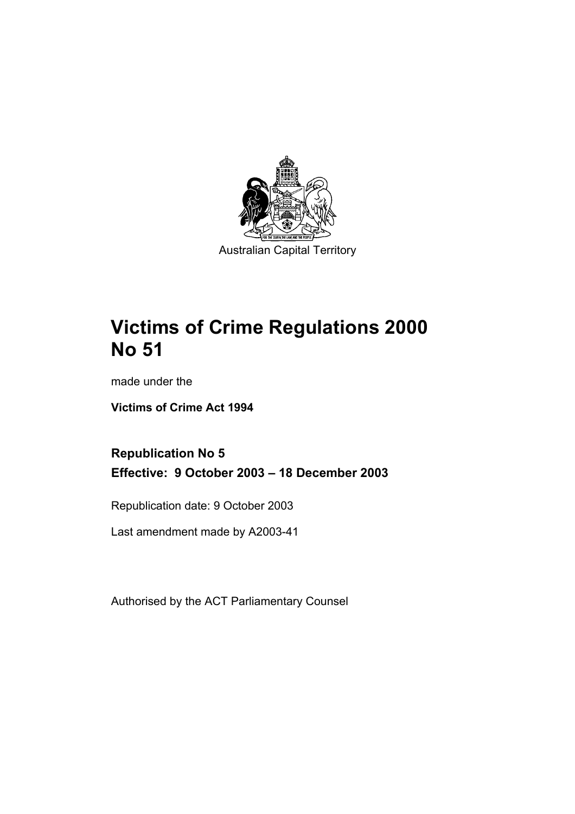

# **Victims of Crime Regulations 2000 No 51**

made under the

**Victims of Crime Act 1994** 

**Republication No 5 Effective: 9 October 2003 – 18 December 2003** 

Republication date: 9 October 2003

Last amendment made by A2003-41

Authorised by the ACT Parliamentary Counsel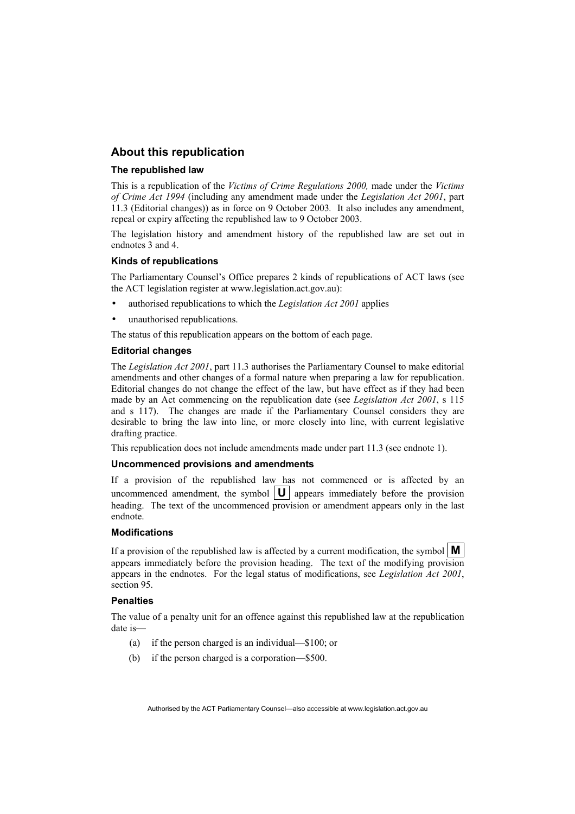#### **About this republication**

#### **The republished law**

This is a republication of the *Victims of Crime Regulations 2000,* made under the *Victims of Crime Act 1994* (including any amendment made under the *Legislation Act 2001*, part 11.3 (Editorial changes)) as in force on 9 October 2003*.* It also includes any amendment, repeal or expiry affecting the republished law to 9 October 2003.

The legislation history and amendment history of the republished law are set out in endnotes 3 and 4.

#### **Kinds of republications**

The Parliamentary Counsel's Office prepares 2 kinds of republications of ACT laws (see the ACT legislation register at www.legislation.act.gov.au):

- authorised republications to which the *Legislation Act 2001* applies
- unauthorised republications.

The status of this republication appears on the bottom of each page.

#### **Editorial changes**

The *Legislation Act 2001*, part 11.3 authorises the Parliamentary Counsel to make editorial amendments and other changes of a formal nature when preparing a law for republication. Editorial changes do not change the effect of the law, but have effect as if they had been made by an Act commencing on the republication date (see *Legislation Act 2001*, s 115 and s 117). The changes are made if the Parliamentary Counsel considers they are desirable to bring the law into line, or more closely into line, with current legislative drafting practice.

This republication does not include amendments made under part 11.3 (see endnote 1).

#### **Uncommenced provisions and amendments**

If a provision of the republished law has not commenced or is affected by an uncommenced amendment, the symbol  $\|\mathbf{U}\|$  appears immediately before the provision heading. The text of the uncommenced provision or amendment appears only in the last endnote.

#### **Modifications**

If a provision of the republished law is affected by a current modification, the symbol  $\mathbf{M}$ appears immediately before the provision heading. The text of the modifying provision appears in the endnotes. For the legal status of modifications, see *Legislation Act 2001*, section 95.

#### **Penalties**

The value of a penalty unit for an offence against this republished law at the republication date is—

- (a) if the person charged is an individual—\$100; or
- (b) if the person charged is a corporation—\$500.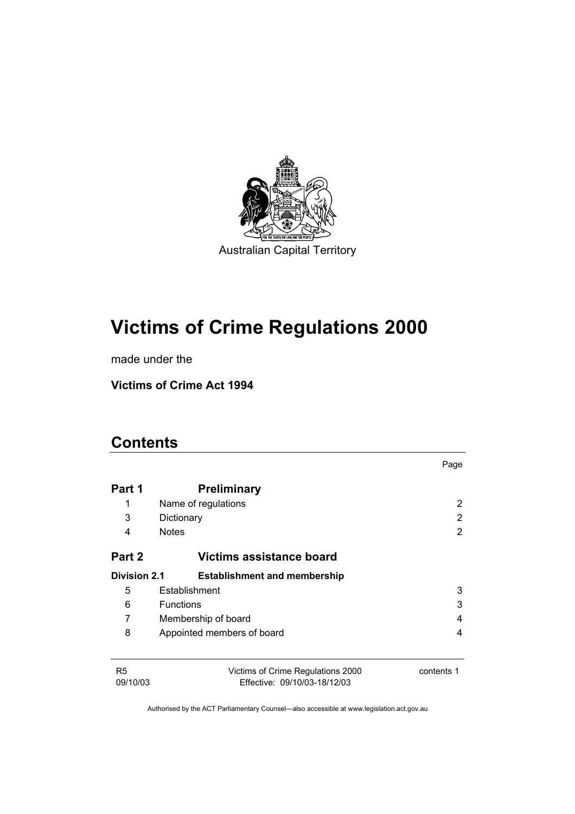

# **Victims of Crime Regulations 2000**

made under the

**Victims of Crime Act 1994** 

# **Contents**

|                            |                                                                   | Page       |
|----------------------------|-------------------------------------------------------------------|------------|
| Part 1                     | <b>Preliminary</b>                                                |            |
| 1                          | Name of regulations                                               | 2          |
| 3                          | Dictionary                                                        | 2          |
| 4                          | <b>Notes</b>                                                      | 2          |
| Part 2                     | Victims assistance board                                          |            |
| <b>Division 2.1</b>        | <b>Establishment and membership</b>                               |            |
| 5                          | Establishment                                                     | 3          |
| 6                          | <b>Functions</b>                                                  | 3          |
| 7                          | Membership of board                                               | 4          |
| 8                          | Appointed members of board                                        | 4          |
|                            |                                                                   |            |
| R <sub>5</sub><br>09/10/03 | Victims of Crime Regulations 2000<br>Effective: 09/10/03-18/12/03 | contents 1 |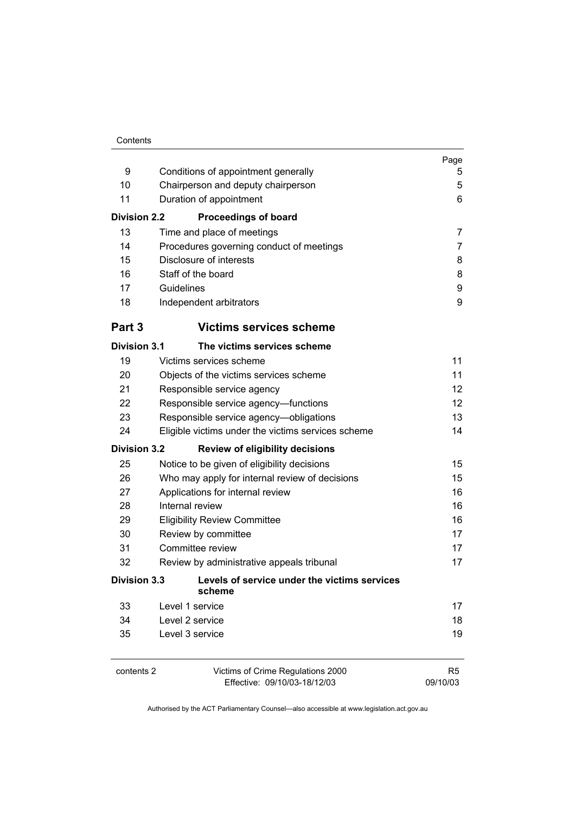|                     |                                                                   | Page                       |
|---------------------|-------------------------------------------------------------------|----------------------------|
| 9                   | Conditions of appointment generally                               | 5                          |
| 10                  | Chairperson and deputy chairperson                                | 5                          |
| 11                  | Duration of appointment                                           | 6                          |
| <b>Division 2.2</b> | <b>Proceedings of board</b>                                       |                            |
| 13                  | Time and place of meetings                                        | 7                          |
| 14                  | Procedures governing conduct of meetings                          | 7                          |
| 15                  | Disclosure of interests                                           | 8                          |
| 16                  | Staff of the board                                                | 8                          |
| 17                  | Guidelines                                                        | 9                          |
| 18                  | Independent arbitrators                                           | 9                          |
| Part 3              | <b>Victims services scheme</b>                                    |                            |
| <b>Division 3.1</b> | The victims services scheme                                       |                            |
| 19                  | Victims services scheme                                           | 11                         |
| 20                  | Objects of the victims services scheme                            | 11                         |
| 21                  | Responsible service agency                                        | 12                         |
| 22                  | Responsible service agency-functions                              | 12 <sup>2</sup>            |
| 23                  | Responsible service agency-obligations                            | 13                         |
| 24                  | Eligible victims under the victims services scheme                | 14                         |
| <b>Division 3.2</b> | <b>Review of eligibility decisions</b>                            |                            |
| 25                  | Notice to be given of eligibility decisions                       | 15                         |
| 26                  | Who may apply for internal review of decisions                    | 15                         |
| 27                  | Applications for internal review                                  | 16                         |
| 28                  | Internal review                                                   | 16                         |
| 29                  | <b>Eligibility Review Committee</b>                               | 16                         |
| 30                  | Review by committee                                               | 17                         |
| 31                  | Committee review                                                  | 17                         |
| 32                  | Review by administrative appeals tribunal                         | 17                         |
| <b>Division 3.3</b> | Levels of service under the victims services<br>scheme            |                            |
| 33                  | Level 1 service                                                   | 17                         |
| 34                  | Level 2 service                                                   | 18                         |
| 35                  | Level 3 service                                                   | 19                         |
| contents 2          | Victims of Crime Regulations 2000<br>Effective: 09/10/03-18/12/03 | R <sub>5</sub><br>09/10/03 |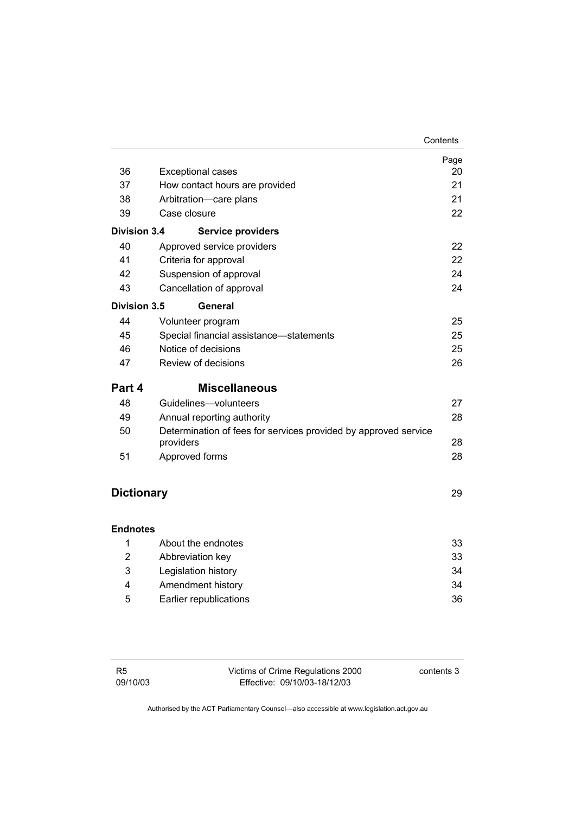|                     |                                                                              | Contents |
|---------------------|------------------------------------------------------------------------------|----------|
|                     |                                                                              | Page     |
| 36                  | <b>Exceptional cases</b>                                                     | 20       |
| 37                  | How contact hours are provided                                               | 21       |
| 38                  | Arbitration-care plans                                                       | 21       |
| 39                  | Case closure                                                                 | 22       |
| <b>Division 3.4</b> | <b>Service providers</b>                                                     |          |
| 40                  | Approved service providers                                                   | 22       |
| 41                  | Criteria for approval                                                        | 22       |
| 42                  | Suspension of approval                                                       | 24       |
| 43                  | Cancellation of approval                                                     | 24       |
| Division 3.5        | General                                                                      |          |
| 44                  | Volunteer program                                                            | 25       |
| 45                  | Special financial assistance-statements                                      | 25       |
| 46                  | Notice of decisions                                                          | 25       |
| 47                  | Review of decisions                                                          | 26       |
| Part 4              | <b>Miscellaneous</b>                                                         |          |
| 48                  | Guidelines-volunteers                                                        | 27       |
| 49                  | Annual reporting authority                                                   | 28       |
| 50                  | Determination of fees for services provided by approved service<br>providers | 28       |
| 51                  | Approved forms                                                               | 28       |
| <b>Dictionary</b>   |                                                                              | 29       |
| <b>Endnotes</b>     |                                                                              |          |
| 1                   | About the endnotes                                                           | 33       |
| 2                   | Abbreviation key                                                             | 33       |
| 3                   | Legislation history                                                          | 34       |

 4 Amendment history 34 5 Earlier republications 36

| - R5     | Victims of Crime Regulations 2000 | contents 3 |
|----------|-----------------------------------|------------|
| 09/10/03 | Effective: 09/10/03-18/12/03      |            |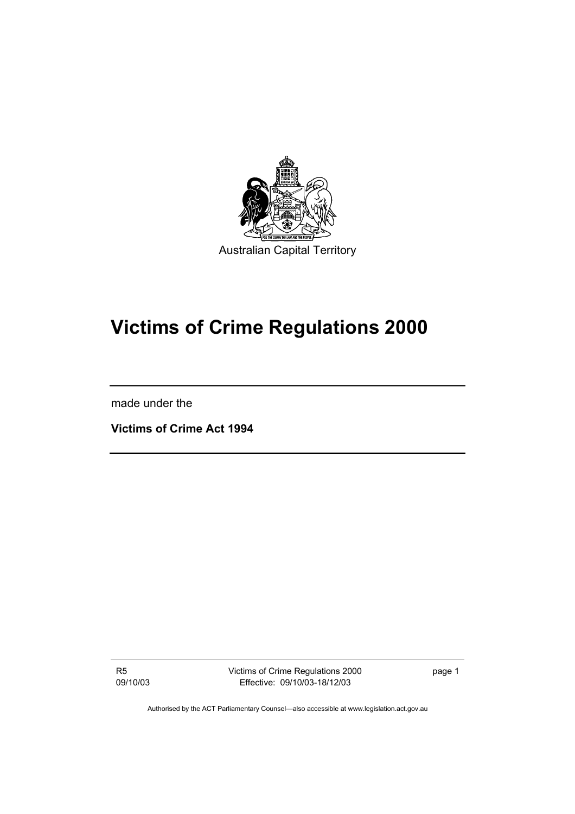

# **Victims of Crime Regulations 2000**

made under the

**Victims of Crime Act 1994** 

R5 09/10/03 Victims of Crime Regulations 2000 Effective: 09/10/03-18/12/03

page 1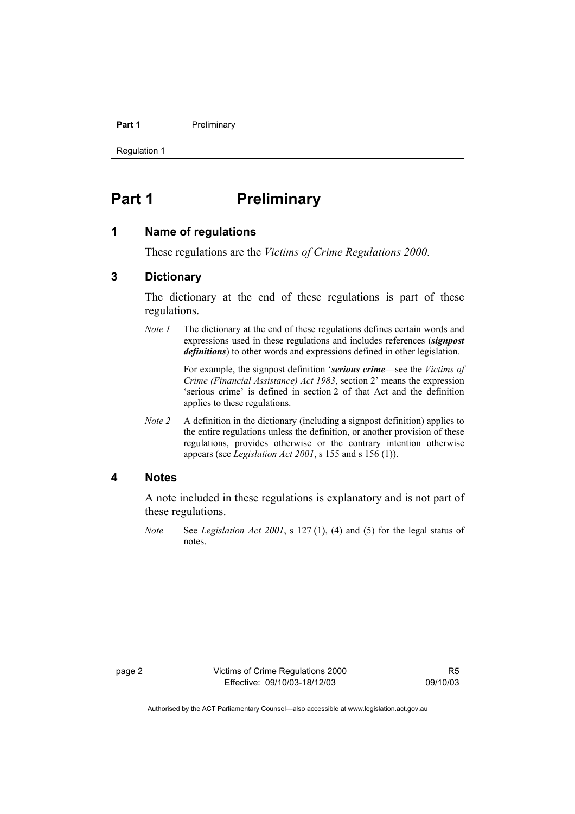#### **Part 1** Preliminary

Regulation 1

# **Part 1** Preliminary

#### **1 Name of regulations**

These regulations are the *Victims of Crime Regulations 2000*.

#### **3 Dictionary**

The dictionary at the end of these regulations is part of these regulations.

*Note 1* The dictionary at the end of these regulations defines certain words and expressions used in these regulations and includes references (*signpost definitions*) to other words and expressions defined in other legislation.

> For example, the signpost definition '*serious crime*—see the *Victims of Crime (Financial Assistance) Act 1983*, section 2' means the expression 'serious crime' is defined in section 2 of that Act and the definition applies to these regulations.

*Note 2* A definition in the dictionary (including a signpost definition) applies to the entire regulations unless the definition, or another provision of these regulations, provides otherwise or the contrary intention otherwise appears (see *Legislation Act 2001*, s 155 and s 156 (1)).

#### **4 Notes**

A note included in these regulations is explanatory and is not part of these regulations.

*Note* See *Legislation Act 2001*, s 127 (1), (4) and (5) for the legal status of notes.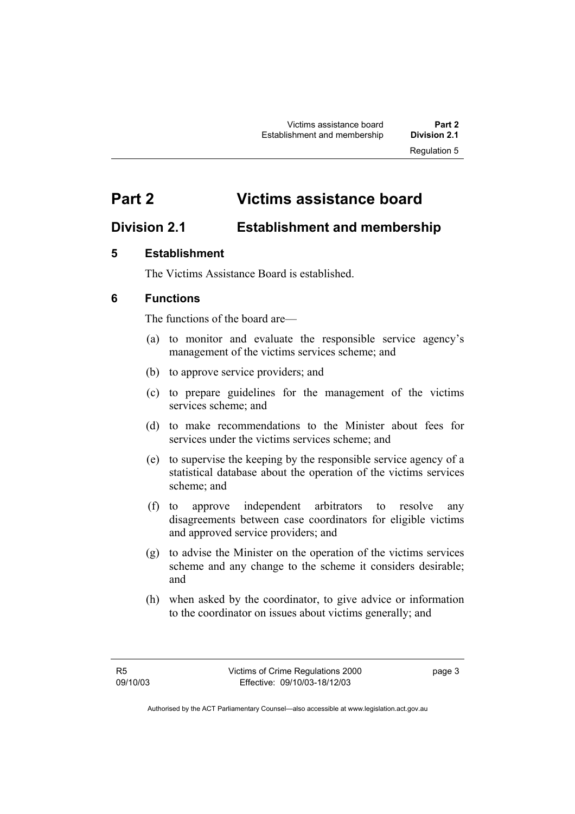# **Part 2 Victims assistance board**

# **Division 2.1 Establishment and membership**

#### **5 Establishment**

The Victims Assistance Board is established.

### **6 Functions**

The functions of the board are—

- (a) to monitor and evaluate the responsible service agency's management of the victims services scheme; and
- (b) to approve service providers; and
- (c) to prepare guidelines for the management of the victims services scheme; and
- (d) to make recommendations to the Minister about fees for services under the victims services scheme; and
- (e) to supervise the keeping by the responsible service agency of a statistical database about the operation of the victims services scheme; and
- (f) to approve independent arbitrators to resolve any disagreements between case coordinators for eligible victims and approved service providers; and
- (g) to advise the Minister on the operation of the victims services scheme and any change to the scheme it considers desirable; and
- (h) when asked by the coordinator, to give advice or information to the coordinator on issues about victims generally; and

page 3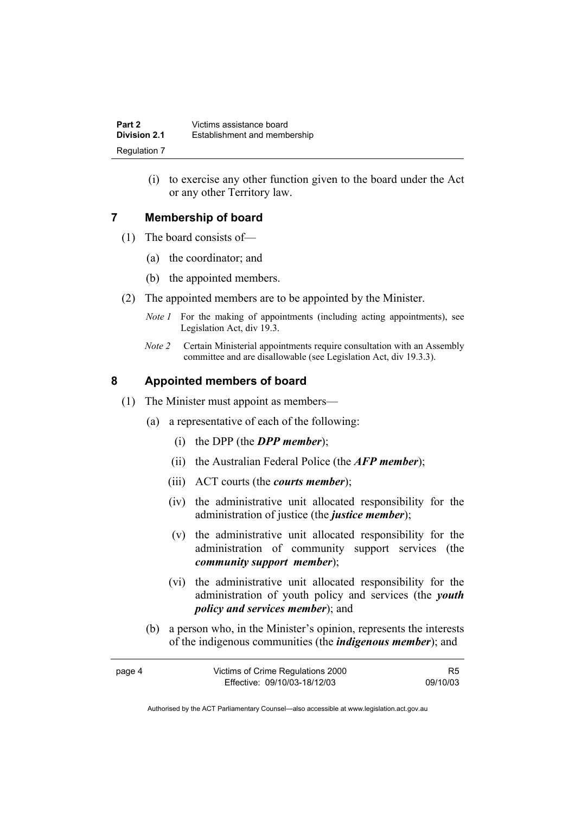(i) to exercise any other function given to the board under the Act or any other Territory law.

#### **7 Membership of board**

- (1) The board consists of—
	- (a) the coordinator; and
	- (b) the appointed members.
- (2) The appointed members are to be appointed by the Minister.
	- *Note 1* For the making of appointments (including acting appointments), see Legislation Act, div 19.3.
	- *Note 2* Certain Ministerial appointments require consultation with an Assembly committee and are disallowable (see Legislation Act, div 19.3.3).

#### **8 Appointed members of board**

- (1) The Minister must appoint as members—
	- (a) a representative of each of the following:
		- (i) the DPP (the *DPP member*);
		- (ii) the Australian Federal Police (the *AFP member*);
		- (iii) ACT courts (the *courts member*);
		- (iv) the administrative unit allocated responsibility for the administration of justice (the *justice member*);
		- (v) the administrative unit allocated responsibility for the administration of community support services (the *community support member*);
		- (vi) the administrative unit allocated responsibility for the administration of youth policy and services (the *youth policy and services member*); and
	- (b) a person who, in the Minister's opinion, represents the interests of the indigenous communities (the *indigenous member*); and

| page 4 | Victims of Crime Regulations 2000 | R5       |
|--------|-----------------------------------|----------|
|        | Effective: 09/10/03-18/12/03      | 09/10/03 |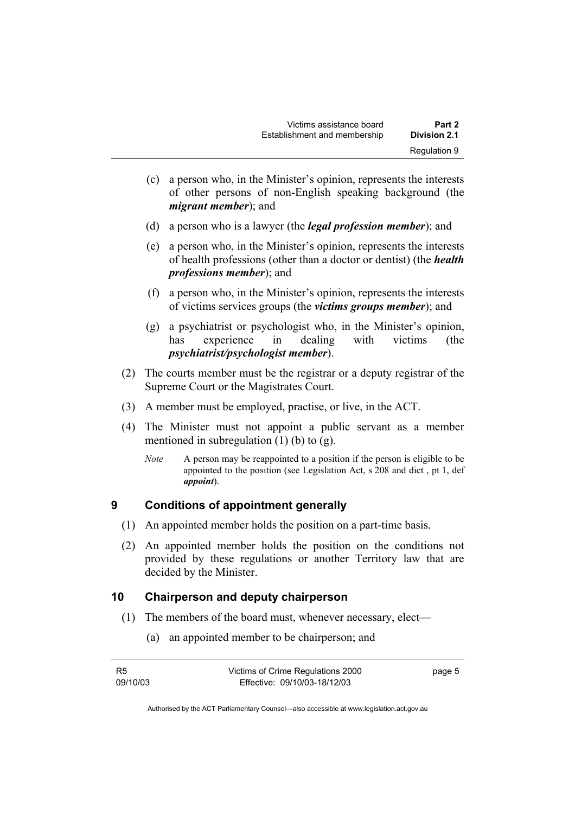- (c) a person who, in the Minister's opinion, represents the interests of other persons of non-English speaking background (the *migrant member*); and
- (d) a person who is a lawyer (the *legal profession member*); and
- (e) a person who, in the Minister's opinion, represents the interests of health professions (other than a doctor or dentist) (the *health professions member*); and
- (f) a person who, in the Minister's opinion, represents the interests of victims services groups (the *victims groups member*); and
- (g) a psychiatrist or psychologist who, in the Minister's opinion, has experience in dealing with victims (the *psychiatrist/psychologist member*).
- (2) The courts member must be the registrar or a deputy registrar of the Supreme Court or the Magistrates Court.
- (3) A member must be employed, practise, or live, in the ACT.
- (4) The Minister must not appoint a public servant as a member mentioned in subregulation  $(1)$  (b) to  $(g)$ .
	- *Note* A person may be reappointed to a position if the person is eligible to be appointed to the position (see Legislation Act, s 208 and dict , pt 1, def *appoint*).

#### **9 Conditions of appointment generally**

- (1) An appointed member holds the position on a part-time basis.
- (2) An appointed member holds the position on the conditions not provided by these regulations or another Territory law that are decided by the Minister.

#### **10 Chairperson and deputy chairperson**

- (1) The members of the board must, whenever necessary, elect—
	- (a) an appointed member to be chairperson; and

| R5       | Victims of Crime Regulations 2000 | page 5 |
|----------|-----------------------------------|--------|
| 09/10/03 | Effective: 09/10/03-18/12/03      |        |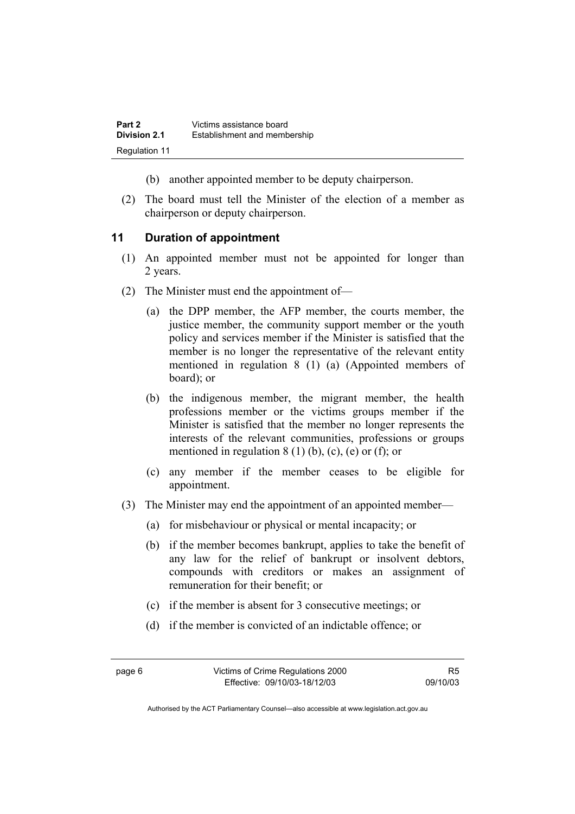- (b) another appointed member to be deputy chairperson.
- (2) The board must tell the Minister of the election of a member as chairperson or deputy chairperson.

#### **11 Duration of appointment**

- (1) An appointed member must not be appointed for longer than 2 years.
- (2) The Minister must end the appointment of—
	- (a) the DPP member, the AFP member, the courts member, the justice member, the community support member or the youth policy and services member if the Minister is satisfied that the member is no longer the representative of the relevant entity mentioned in regulation 8 (1) (a) (Appointed members of board); or
	- (b) the indigenous member, the migrant member, the health professions member or the victims groups member if the Minister is satisfied that the member no longer represents the interests of the relevant communities, professions or groups mentioned in regulation  $8(1)$  (b), (c), (e) or (f); or
	- (c) any member if the member ceases to be eligible for appointment.
- (3) The Minister may end the appointment of an appointed member—
	- (a) for misbehaviour or physical or mental incapacity; or
	- (b) if the member becomes bankrupt, applies to take the benefit of any law for the relief of bankrupt or insolvent debtors, compounds with creditors or makes an assignment of remuneration for their benefit; or
	- (c) if the member is absent for 3 consecutive meetings; or
	- (d) if the member is convicted of an indictable offence; or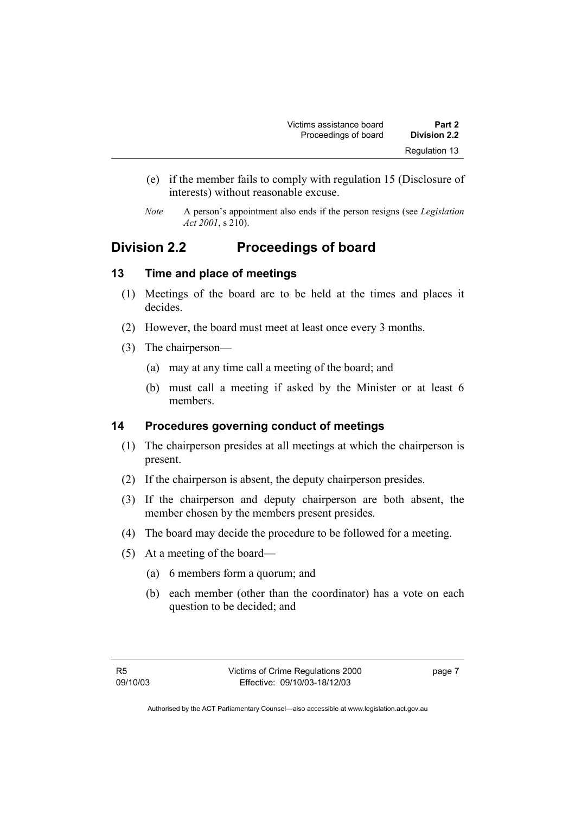- (e) if the member fails to comply with regulation 15 (Disclosure of interests) without reasonable excuse.
- *Note* A person's appointment also ends if the person resigns (see *Legislation Act 2001*, s 210).

# **Division 2.2 Proceedings of board**

#### **13 Time and place of meetings**

- (1) Meetings of the board are to be held at the times and places it decides.
- (2) However, the board must meet at least once every 3 months.
- (3) The chairperson—
	- (a) may at any time call a meeting of the board; and
	- (b) must call a meeting if asked by the Minister or at least 6 members.

#### **14 Procedures governing conduct of meetings**

- (1) The chairperson presides at all meetings at which the chairperson is present.
- (2) If the chairperson is absent, the deputy chairperson presides.
- (3) If the chairperson and deputy chairperson are both absent, the member chosen by the members present presides.
- (4) The board may decide the procedure to be followed for a meeting.
- (5) At a meeting of the board—
	- (a) 6 members form a quorum; and
	- (b) each member (other than the coordinator) has a vote on each question to be decided; and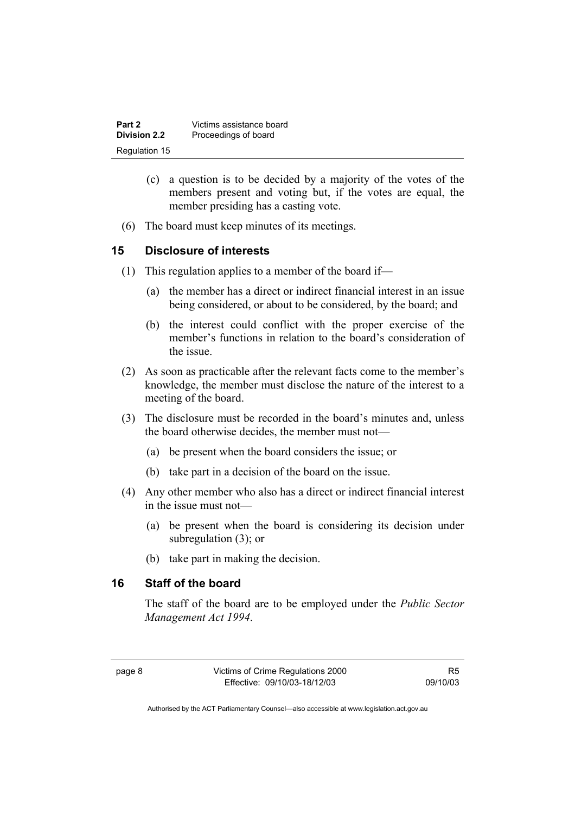| Part 2              | Victims assistance board |
|---------------------|--------------------------|
| <b>Division 2.2</b> | Proceedings of board     |
| Regulation 15       |                          |

- (c) a question is to be decided by a majority of the votes of the members present and voting but, if the votes are equal, the member presiding has a casting vote.
- (6) The board must keep minutes of its meetings.

#### **15 Disclosure of interests**

- (1) This regulation applies to a member of the board if—
	- (a) the member has a direct or indirect financial interest in an issue being considered, or about to be considered, by the board; and
	- (b) the interest could conflict with the proper exercise of the member's functions in relation to the board's consideration of the issue.
- (2) As soon as practicable after the relevant facts come to the member's knowledge, the member must disclose the nature of the interest to a meeting of the board.
- (3) The disclosure must be recorded in the board's minutes and, unless the board otherwise decides, the member must not—
	- (a) be present when the board considers the issue; or
	- (b) take part in a decision of the board on the issue.
- (4) Any other member who also has a direct or indirect financial interest in the issue must not—
	- (a) be present when the board is considering its decision under subregulation (3); or
	- (b) take part in making the decision.

#### **16 Staff of the board**

The staff of the board are to be employed under the *Public Sector Management Act 1994*.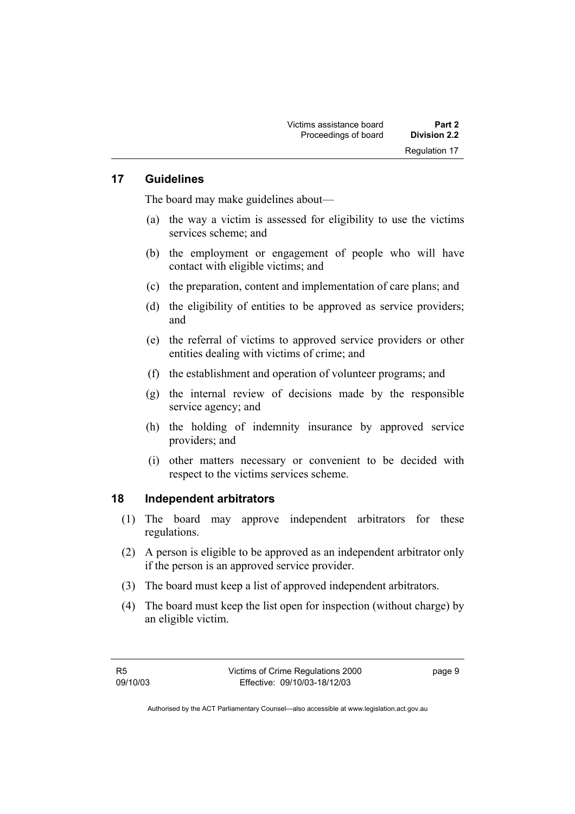#### **17 Guidelines**

The board may make guidelines about—

- (a) the way a victim is assessed for eligibility to use the victims services scheme; and
- (b) the employment or engagement of people who will have contact with eligible victims; and
- (c) the preparation, content and implementation of care plans; and
- (d) the eligibility of entities to be approved as service providers; and
- (e) the referral of victims to approved service providers or other entities dealing with victims of crime; and
- (f) the establishment and operation of volunteer programs; and
- (g) the internal review of decisions made by the responsible service agency; and
- (h) the holding of indemnity insurance by approved service providers; and
- (i) other matters necessary or convenient to be decided with respect to the victims services scheme.

#### **18 Independent arbitrators**

- (1) The board may approve independent arbitrators for these regulations.
- (2) A person is eligible to be approved as an independent arbitrator only if the person is an approved service provider.
- (3) The board must keep a list of approved independent arbitrators.
- (4) The board must keep the list open for inspection (without charge) by an eligible victim.

page 9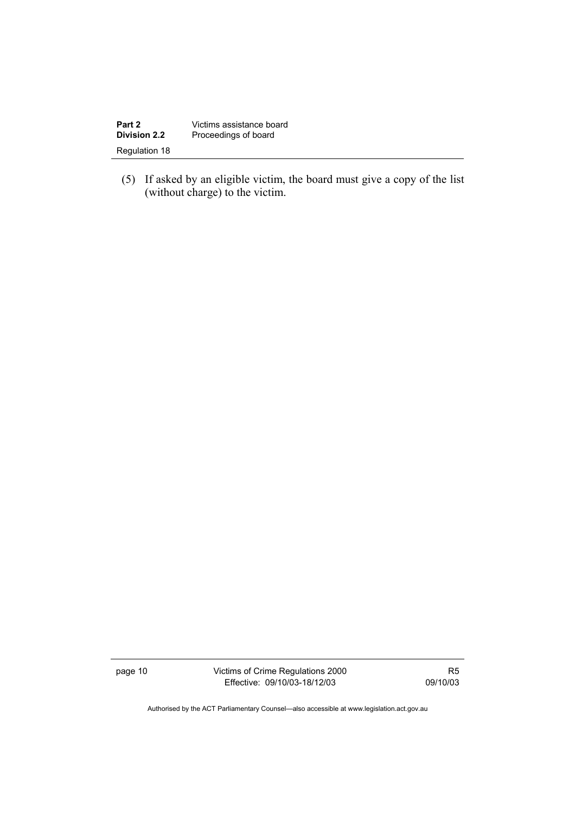| Part 2              | Victims assistance board |
|---------------------|--------------------------|
| <b>Division 2.2</b> | Proceedings of board     |
| Regulation 18       |                          |

 (5) If asked by an eligible victim, the board must give a copy of the list (without charge) to the victim.

page 10 Victims of Crime Regulations 2000 Effective: 09/10/03-18/12/03

R5 09/10/03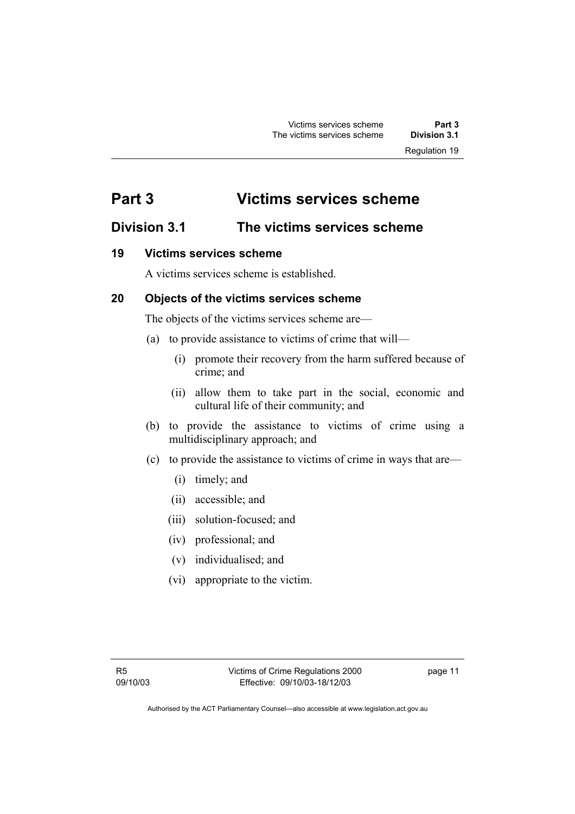# **Part 3 Victims services scheme**

# **Division 3.1 The victims services scheme**

### **19 Victims services scheme**

A victims services scheme is established.

### **20 Objects of the victims services scheme**

The objects of the victims services scheme are—

- (a) to provide assistance to victims of crime that will—
	- (i) promote their recovery from the harm suffered because of crime; and
	- (ii) allow them to take part in the social, economic and cultural life of their community; and
- (b) to provide the assistance to victims of crime using a multidisciplinary approach; and
- (c) to provide the assistance to victims of crime in ways that are—
	- (i) timely; and
	- (ii) accessible; and
	- (iii) solution-focused; and
	- (iv) professional; and
	- (v) individualised; and
	- (vi) appropriate to the victim.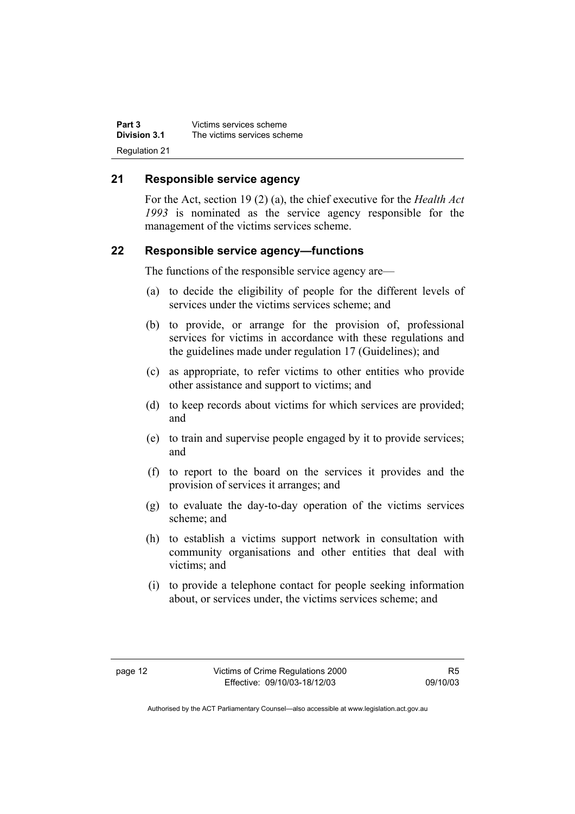| Part 3        | Victims services scheme     |
|---------------|-----------------------------|
| Division 3.1  | The victims services scheme |
| Regulation 21 |                             |

#### **21 Responsible service agency**

For the Act, section 19 (2) (a), the chief executive for the *Health Act 1993* is nominated as the service agency responsible for the management of the victims services scheme.

#### **22 Responsible service agency—functions**

The functions of the responsible service agency are—

- (a) to decide the eligibility of people for the different levels of services under the victims services scheme; and
- (b) to provide, or arrange for the provision of, professional services for victims in accordance with these regulations and the guidelines made under regulation 17 (Guidelines); and
- (c) as appropriate, to refer victims to other entities who provide other assistance and support to victims; and
- (d) to keep records about victims for which services are provided; and
- (e) to train and supervise people engaged by it to provide services; and
- (f) to report to the board on the services it provides and the provision of services it arranges; and
- (g) to evaluate the day-to-day operation of the victims services scheme; and
- (h) to establish a victims support network in consultation with community organisations and other entities that deal with victims; and
- (i) to provide a telephone contact for people seeking information about, or services under, the victims services scheme; and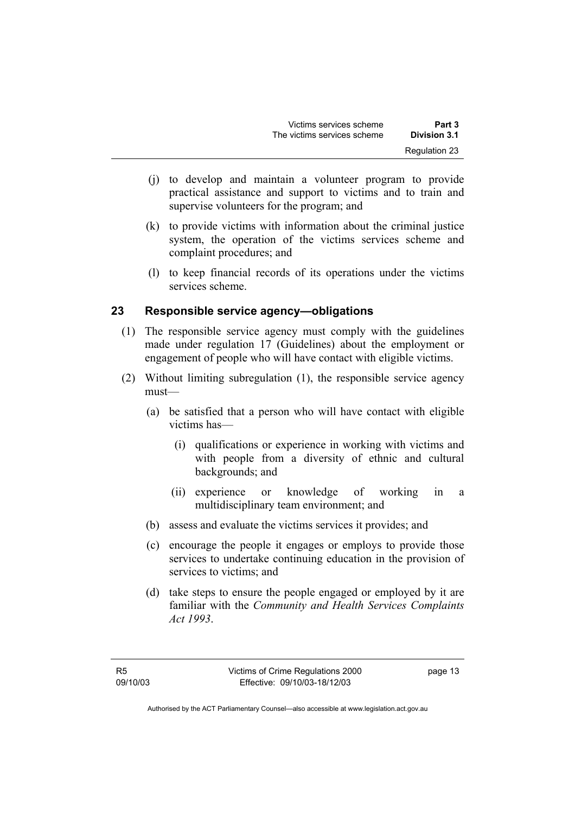- (j) to develop and maintain a volunteer program to provide practical assistance and support to victims and to train and supervise volunteers for the program; and
- (k) to provide victims with information about the criminal justice system, the operation of the victims services scheme and complaint procedures; and
- (l) to keep financial records of its operations under the victims services scheme.

#### **23 Responsible service agency—obligations**

- (1) The responsible service agency must comply with the guidelines made under regulation 17 (Guidelines) about the employment or engagement of people who will have contact with eligible victims.
- (2) Without limiting subregulation (1), the responsible service agency must—
	- (a) be satisfied that a person who will have contact with eligible victims has—
		- (i) qualifications or experience in working with victims and with people from a diversity of ethnic and cultural backgrounds; and
		- (ii) experience or knowledge of working in a multidisciplinary team environment; and
	- (b) assess and evaluate the victims services it provides; and
	- (c) encourage the people it engages or employs to provide those services to undertake continuing education in the provision of services to victims; and
	- (d) take steps to ensure the people engaged or employed by it are familiar with the *Community and Health Services Complaints Act 1993*.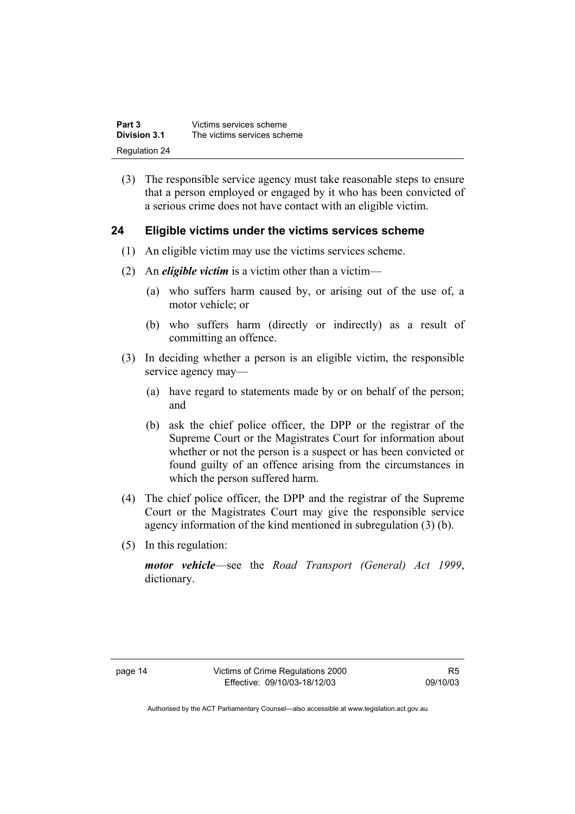| Part 3        | Victims services scheme     |
|---------------|-----------------------------|
| Division 3.1  | The victims services scheme |
| Regulation 24 |                             |

 (3) The responsible service agency must take reasonable steps to ensure that a person employed or engaged by it who has been convicted of a serious crime does not have contact with an eligible victim.

#### **24 Eligible victims under the victims services scheme**

- (1) An eligible victim may use the victims services scheme.
- (2) An *eligible victim* is a victim other than a victim—
	- (a) who suffers harm caused by, or arising out of the use of, a motor vehicle; or
	- (b) who suffers harm (directly or indirectly) as a result of committing an offence.
- (3) In deciding whether a person is an eligible victim, the responsible service agency may—
	- (a) have regard to statements made by or on behalf of the person; and
	- (b) ask the chief police officer, the DPP or the registrar of the Supreme Court or the Magistrates Court for information about whether or not the person is a suspect or has been convicted or found guilty of an offence arising from the circumstances in which the person suffered harm.
- (4) The chief police officer, the DPP and the registrar of the Supreme Court or the Magistrates Court may give the responsible service agency information of the kind mentioned in subregulation (3) (b).
- (5) In this regulation:

*motor vehicle*—see the *Road Transport (General) Act 1999*, dictionary.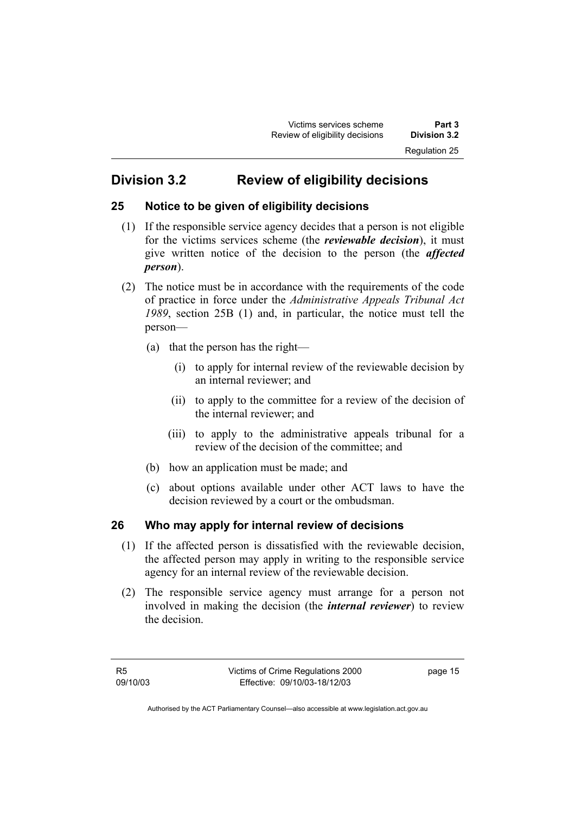# **Division 3.2 Review of eligibility decisions**

### **25 Notice to be given of eligibility decisions**

- (1) If the responsible service agency decides that a person is not eligible for the victims services scheme (the *reviewable decision*), it must give written notice of the decision to the person (the *affected person*).
- (2) The notice must be in accordance with the requirements of the code of practice in force under the *Administrative Appeals Tribunal Act 1989*, section 25B (1) and, in particular, the notice must tell the person—
	- (a) that the person has the right—
		- (i) to apply for internal review of the reviewable decision by an internal reviewer; and
		- (ii) to apply to the committee for a review of the decision of the internal reviewer; and
		- (iii) to apply to the administrative appeals tribunal for a review of the decision of the committee; and
	- (b) how an application must be made; and
	- (c) about options available under other ACT laws to have the decision reviewed by a court or the ombudsman.

## **26 Who may apply for internal review of decisions**

- (1) If the affected person is dissatisfied with the reviewable decision, the affected person may apply in writing to the responsible service agency for an internal review of the reviewable decision.
- (2) The responsible service agency must arrange for a person not involved in making the decision (the *internal reviewer*) to review the decision.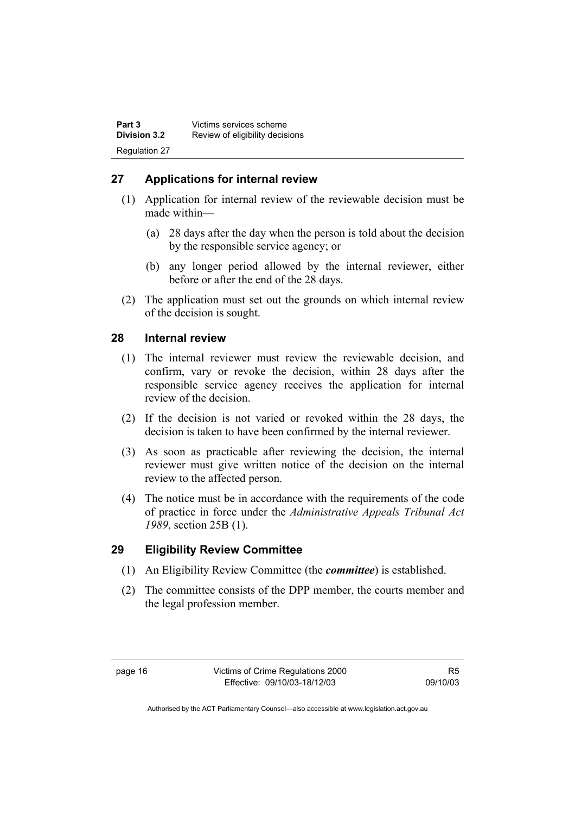### **27 Applications for internal review**

- (1) Application for internal review of the reviewable decision must be made within—
	- (a) 28 days after the day when the person is told about the decision by the responsible service agency; or
	- (b) any longer period allowed by the internal reviewer, either before or after the end of the 28 days.
- (2) The application must set out the grounds on which internal review of the decision is sought.

#### **28 Internal review**

- (1) The internal reviewer must review the reviewable decision, and confirm, vary or revoke the decision, within 28 days after the responsible service agency receives the application for internal review of the decision.
- (2) If the decision is not varied or revoked within the 28 days, the decision is taken to have been confirmed by the internal reviewer.
- (3) As soon as practicable after reviewing the decision, the internal reviewer must give written notice of the decision on the internal review to the affected person.
- (4) The notice must be in accordance with the requirements of the code of practice in force under the *Administrative Appeals Tribunal Act 1989*, section 25B (1).

#### **29 Eligibility Review Committee**

- (1) An Eligibility Review Committee (the *committee*) is established.
- (2) The committee consists of the DPP member, the courts member and the legal profession member.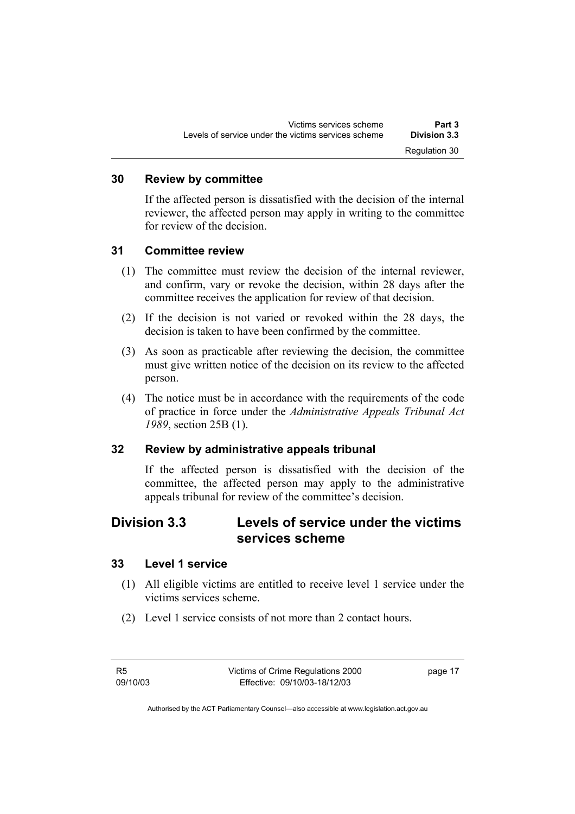#### **30 Review by committee**

If the affected person is dissatisfied with the decision of the internal reviewer, the affected person may apply in writing to the committee for review of the decision.

#### **31 Committee review**

- (1) The committee must review the decision of the internal reviewer, and confirm, vary or revoke the decision, within 28 days after the committee receives the application for review of that decision.
- (2) If the decision is not varied or revoked within the 28 days, the decision is taken to have been confirmed by the committee.
- (3) As soon as practicable after reviewing the decision, the committee must give written notice of the decision on its review to the affected person.
- (4) The notice must be in accordance with the requirements of the code of practice in force under the *Administrative Appeals Tribunal Act 1989*, section 25B (1).

#### **32 Review by administrative appeals tribunal**

If the affected person is dissatisfied with the decision of the committee, the affected person may apply to the administrative appeals tribunal for review of the committee's decision.

# **Division 3.3 Levels of service under the victims services scheme**

#### **33 Level 1 service**

- (1) All eligible victims are entitled to receive level 1 service under the victims services scheme.
- (2) Level 1 service consists of not more than 2 contact hours.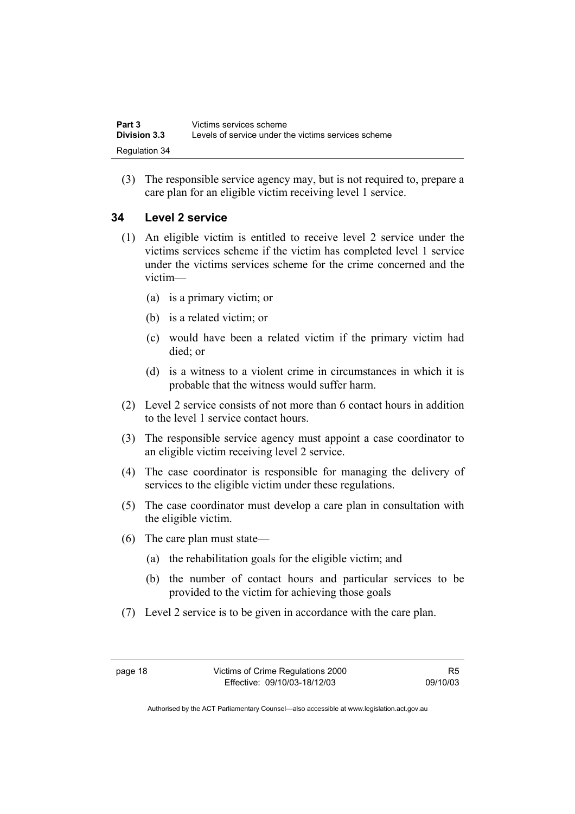| Part 3              | Victims services scheme                             |
|---------------------|-----------------------------------------------------|
| <b>Division 3.3</b> | Levels of service under the victims services scheme |
| Regulation 34       |                                                     |

 (3) The responsible service agency may, but is not required to, prepare a care plan for an eligible victim receiving level 1 service.

#### **34 Level 2 service**

- (1) An eligible victim is entitled to receive level 2 service under the victims services scheme if the victim has completed level 1 service under the victims services scheme for the crime concerned and the victim—
	- (a) is a primary victim; or
	- (b) is a related victim; or
	- (c) would have been a related victim if the primary victim had died; or
	- (d) is a witness to a violent crime in circumstances in which it is probable that the witness would suffer harm.
- (2) Level 2 service consists of not more than 6 contact hours in addition to the level 1 service contact hours.
- (3) The responsible service agency must appoint a case coordinator to an eligible victim receiving level 2 service.
- (4) The case coordinator is responsible for managing the delivery of services to the eligible victim under these regulations.
- (5) The case coordinator must develop a care plan in consultation with the eligible victim.
- (6) The care plan must state—
	- (a) the rehabilitation goals for the eligible victim; and
	- (b) the number of contact hours and particular services to be provided to the victim for achieving those goals
- (7) Level 2 service is to be given in accordance with the care plan.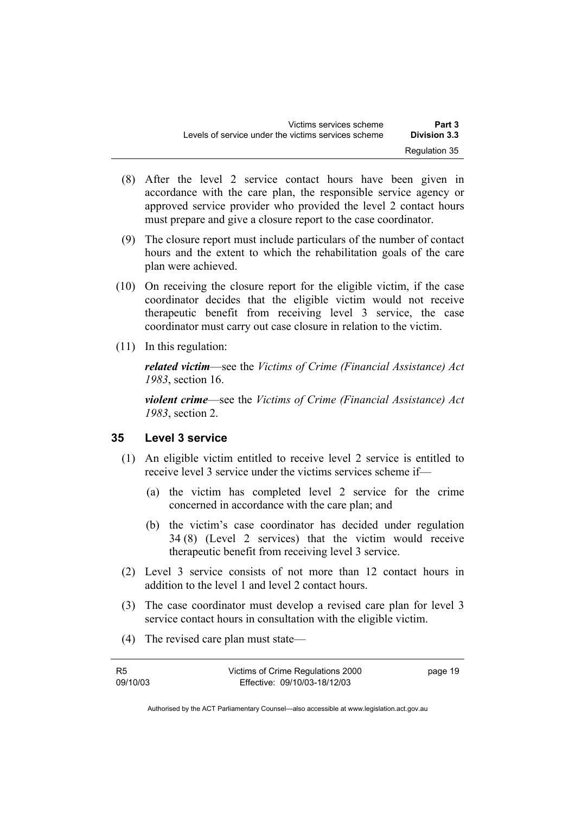- (8) After the level 2 service contact hours have been given in accordance with the care plan, the responsible service agency or approved service provider who provided the level 2 contact hours must prepare and give a closure report to the case coordinator.
- (9) The closure report must include particulars of the number of contact hours and the extent to which the rehabilitation goals of the care plan were achieved.
- (10) On receiving the closure report for the eligible victim, if the case coordinator decides that the eligible victim would not receive therapeutic benefit from receiving level 3 service, the case coordinator must carry out case closure in relation to the victim.
- (11) In this regulation:

*related victim*—see the *Victims of Crime (Financial Assistance) Act 1983*, section 16.

*violent crime*—see the *Victims of Crime (Financial Assistance) Act 1983*, section 2.

#### **35 Level 3 service**

- (1) An eligible victim entitled to receive level 2 service is entitled to receive level 3 service under the victims services scheme if—
	- (a) the victim has completed level 2 service for the crime concerned in accordance with the care plan; and
	- (b) the victim's case coordinator has decided under regulation 34 (8) (Level 2 services) that the victim would receive therapeutic benefit from receiving level 3 service.
- (2) Level 3 service consists of not more than 12 contact hours in addition to the level 1 and level 2 contact hours.
- (3) The case coordinator must develop a revised care plan for level 3 service contact hours in consultation with the eligible victim.
- (4) The revised care plan must state—

| R5       | Victims of Crime Regulations 2000 | page 19 |
|----------|-----------------------------------|---------|
| 09/10/03 | Effective: 09/10/03-18/12/03      |         |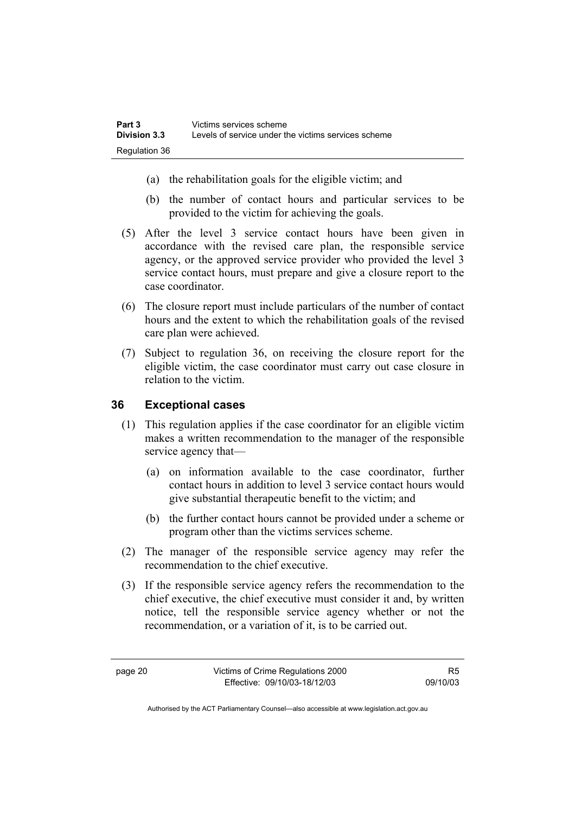- (a) the rehabilitation goals for the eligible victim; and
- (b) the number of contact hours and particular services to be provided to the victim for achieving the goals.
- (5) After the level 3 service contact hours have been given in accordance with the revised care plan, the responsible service agency, or the approved service provider who provided the level 3 service contact hours, must prepare and give a closure report to the case coordinator.
- (6) The closure report must include particulars of the number of contact hours and the extent to which the rehabilitation goals of the revised care plan were achieved.
- (7) Subject to regulation 36, on receiving the closure report for the eligible victim, the case coordinator must carry out case closure in relation to the victim.

#### **36 Exceptional cases**

- (1) This regulation applies if the case coordinator for an eligible victim makes a written recommendation to the manager of the responsible service agency that—
	- (a) on information available to the case coordinator, further contact hours in addition to level 3 service contact hours would give substantial therapeutic benefit to the victim; and
	- (b) the further contact hours cannot be provided under a scheme or program other than the victims services scheme.
- (2) The manager of the responsible service agency may refer the recommendation to the chief executive.
- (3) If the responsible service agency refers the recommendation to the chief executive, the chief executive must consider it and, by written notice, tell the responsible service agency whether or not the recommendation, or a variation of it, is to be carried out.

R5 09/10/03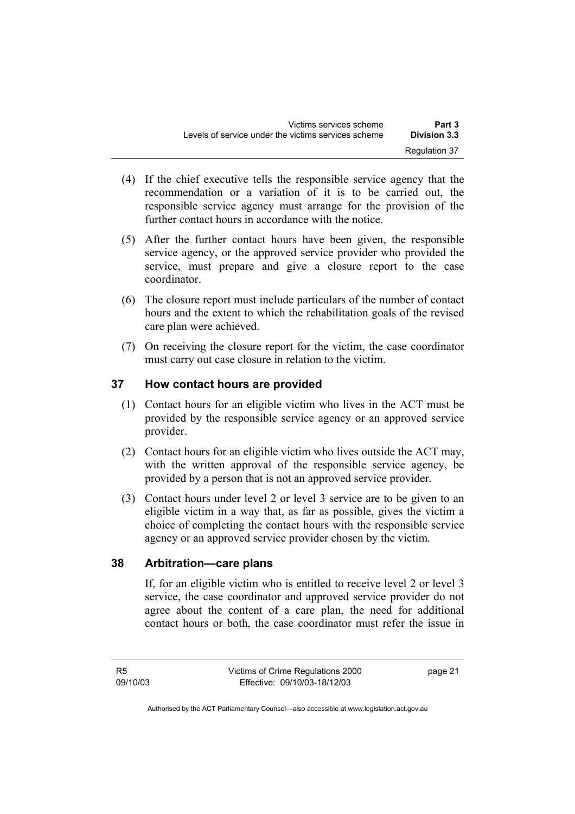- (4) If the chief executive tells the responsible service agency that the recommendation or a variation of it is to be carried out, the responsible service agency must arrange for the provision of the further contact hours in accordance with the notice.
- (5) After the further contact hours have been given, the responsible service agency, or the approved service provider who provided the service, must prepare and give a closure report to the case coordinator.
- (6) The closure report must include particulars of the number of contact hours and the extent to which the rehabilitation goals of the revised care plan were achieved.
- (7) On receiving the closure report for the victim, the case coordinator must carry out case closure in relation to the victim.

### **37 How contact hours are provided**

- (1) Contact hours for an eligible victim who lives in the ACT must be provided by the responsible service agency or an approved service provider.
- (2) Contact hours for an eligible victim who lives outside the ACT may, with the written approval of the responsible service agency, be provided by a person that is not an approved service provider.
- (3) Contact hours under level 2 or level 3 service are to be given to an eligible victim in a way that, as far as possible, gives the victim a choice of completing the contact hours with the responsible service agency or an approved service provider chosen by the victim.

#### **38 Arbitration—care plans**

If, for an eligible victim who is entitled to receive level 2 or level 3 service, the case coordinator and approved service provider do not agree about the content of a care plan, the need for additional contact hours or both, the case coordinator must refer the issue in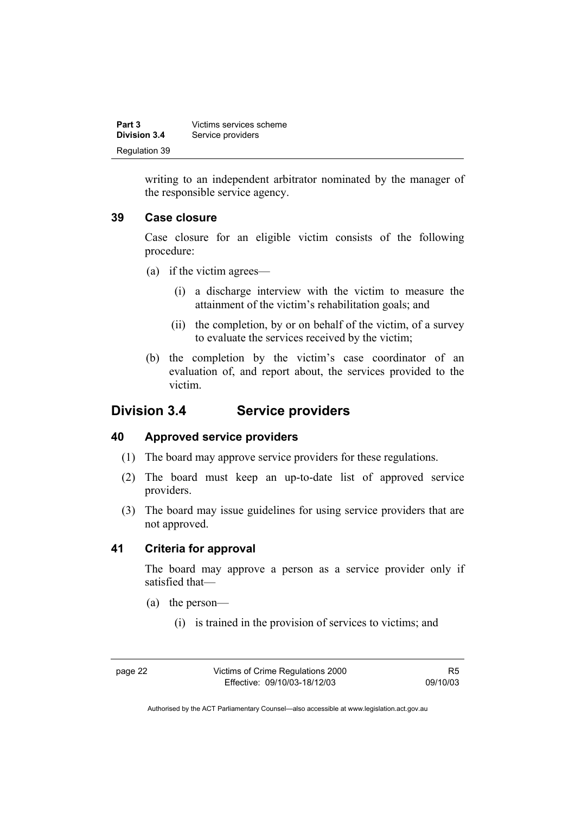| Part 3        | Victims services scheme |
|---------------|-------------------------|
| Division 3.4  | Service providers       |
| Regulation 39 |                         |

writing to an independent arbitrator nominated by the manager of the responsible service agency.

#### **39 Case closure**

Case closure for an eligible victim consists of the following procedure:

- (a) if the victim agrees—
	- (i) a discharge interview with the victim to measure the attainment of the victim's rehabilitation goals; and
	- (ii) the completion, by or on behalf of the victim, of a survey to evaluate the services received by the victim;
- (b) the completion by the victim's case coordinator of an evaluation of, and report about, the services provided to the victim.

## **Division 3.4 Service providers**

#### **40 Approved service providers**

- (1) The board may approve service providers for these regulations.
- (2) The board must keep an up-to-date list of approved service providers.
- (3) The board may issue guidelines for using service providers that are not approved.

#### **41 Criteria for approval**

The board may approve a person as a service provider only if satisfied that—

- (a) the person—
	- (i) is trained in the provision of services to victims; and

page 22 Victims of Crime Regulations 2000 Effective: 09/10/03-18/12/03

R5 09/10/03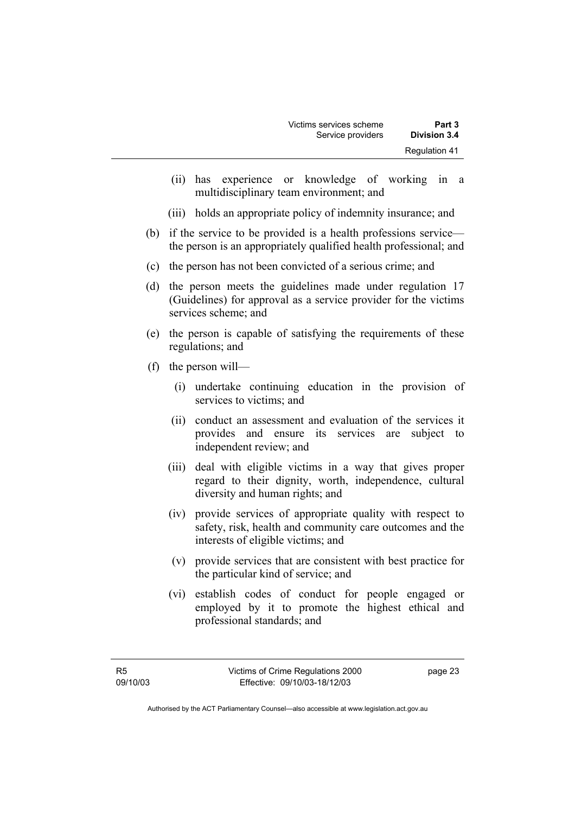- (ii) has experience or knowledge of working in a multidisciplinary team environment; and
- (iii) holds an appropriate policy of indemnity insurance; and
- (b) if the service to be provided is a health professions service the person is an appropriately qualified health professional; and
- (c) the person has not been convicted of a serious crime; and
- (d) the person meets the guidelines made under regulation 17 (Guidelines) for approval as a service provider for the victims services scheme; and
- (e) the person is capable of satisfying the requirements of these regulations; and
- (f) the person will—
	- (i) undertake continuing education in the provision of services to victims; and
	- (ii) conduct an assessment and evaluation of the services it provides and ensure its services are subject to independent review; and
	- (iii) deal with eligible victims in a way that gives proper regard to their dignity, worth, independence, cultural diversity and human rights; and
	- (iv) provide services of appropriate quality with respect to safety, risk, health and community care outcomes and the interests of eligible victims; and
	- (v) provide services that are consistent with best practice for the particular kind of service; and
	- (vi) establish codes of conduct for people engaged or employed by it to promote the highest ethical and professional standards; and

page 23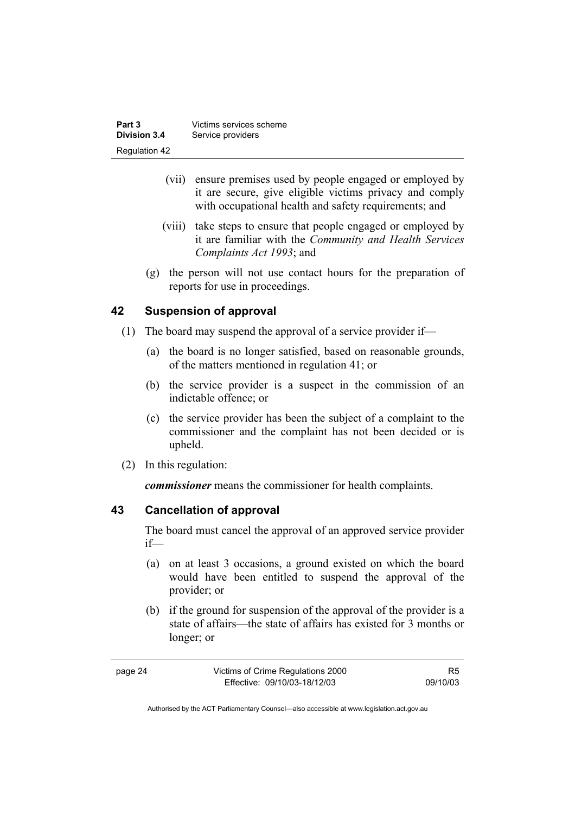| Part 3              | Victims services scheme |
|---------------------|-------------------------|
| <b>Division 3.4</b> | Service providers       |
| Regulation 42       |                         |

- (vii) ensure premises used by people engaged or employed by it are secure, give eligible victims privacy and comply with occupational health and safety requirements; and
- (viii) take steps to ensure that people engaged or employed by it are familiar with the *Community and Health Services Complaints Act 1993*; and
- (g) the person will not use contact hours for the preparation of reports for use in proceedings.

#### **42 Suspension of approval**

- (1) The board may suspend the approval of a service provider if—
	- (a) the board is no longer satisfied, based on reasonable grounds, of the matters mentioned in regulation 41; or
	- (b) the service provider is a suspect in the commission of an indictable offence; or
	- (c) the service provider has been the subject of a complaint to the commissioner and the complaint has not been decided or is upheld.
- (2) In this regulation:

*commissioner* means the commissioner for health complaints.

#### **43 Cancellation of approval**

The board must cancel the approval of an approved service provider if—

- (a) on at least 3 occasions, a ground existed on which the board would have been entitled to suspend the approval of the provider; or
- (b) if the ground for suspension of the approval of the provider is a state of affairs—the state of affairs has existed for 3 months or longer; or

| page 24 | Victims of Crime Regulations 2000 | R5       |
|---------|-----------------------------------|----------|
|         | Effective: 09/10/03-18/12/03      | 09/10/03 |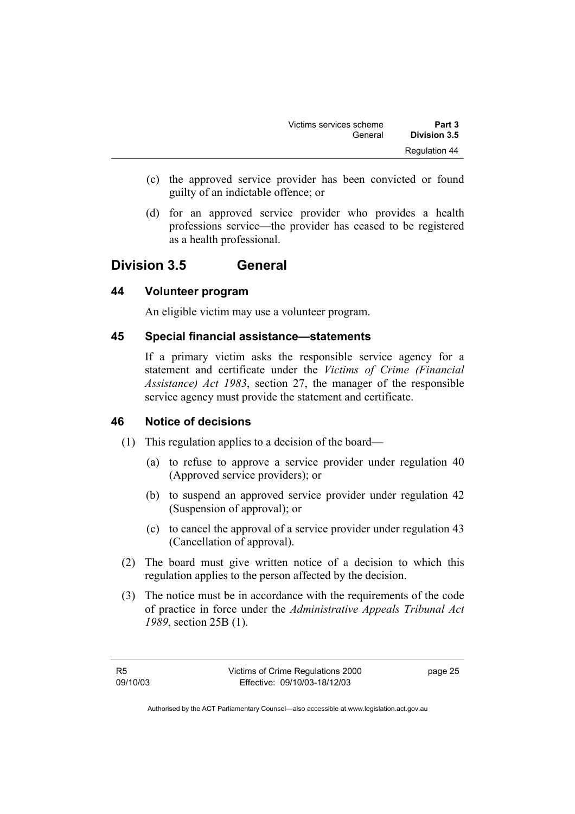| Part 3        | Victims services scheme |
|---------------|-------------------------|
| Division 3.5  | General                 |
| Regulation 44 |                         |

- (c) the approved service provider has been convicted or found guilty of an indictable offence; or
- (d) for an approved service provider who provides a health professions service—the provider has ceased to be registered as a health professional.

### **Division 3.5 General**

#### **44 Volunteer program**

An eligible victim may use a volunteer program.

#### **45 Special financial assistance—statements**

If a primary victim asks the responsible service agency for a statement and certificate under the *Victims of Crime (Financial Assistance) Act 1983*, section 27, the manager of the responsible service agency must provide the statement and certificate.

#### **46 Notice of decisions**

- (1) This regulation applies to a decision of the board—
	- (a) to refuse to approve a service provider under regulation 40 (Approved service providers); or
	- (b) to suspend an approved service provider under regulation 42 (Suspension of approval); or
	- (c) to cancel the approval of a service provider under regulation 43 (Cancellation of approval).
- (2) The board must give written notice of a decision to which this regulation applies to the person affected by the decision.
- (3) The notice must be in accordance with the requirements of the code of practice in force under the *Administrative Appeals Tribunal Act 1989*, section 25B (1).

page 25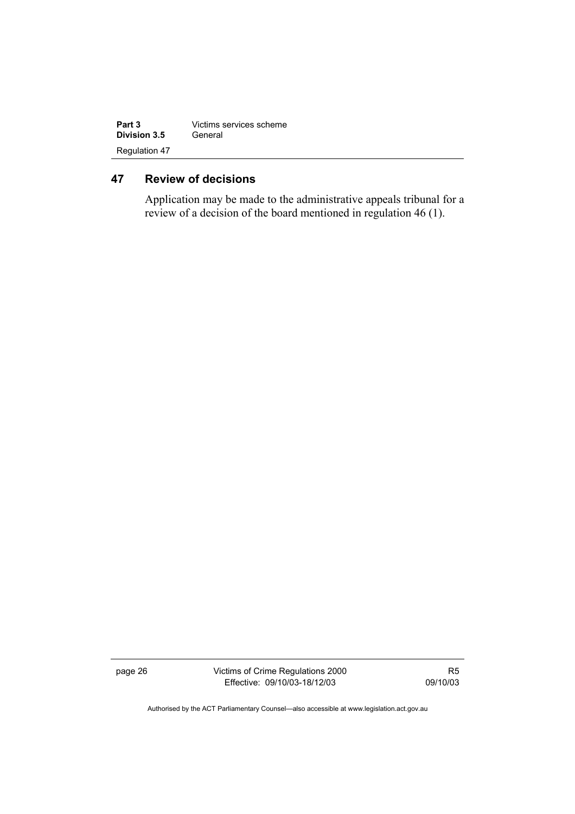| Part 3               | Victims services scheme |  |
|----------------------|-------------------------|--|
| Division 3.5         | General                 |  |
| <b>Regulation 47</b> |                         |  |

### **47 Review of decisions**

Application may be made to the administrative appeals tribunal for a review of a decision of the board mentioned in regulation 46 (1).

page 26 Victims of Crime Regulations 2000 Effective: 09/10/03-18/12/03

R5 09/10/03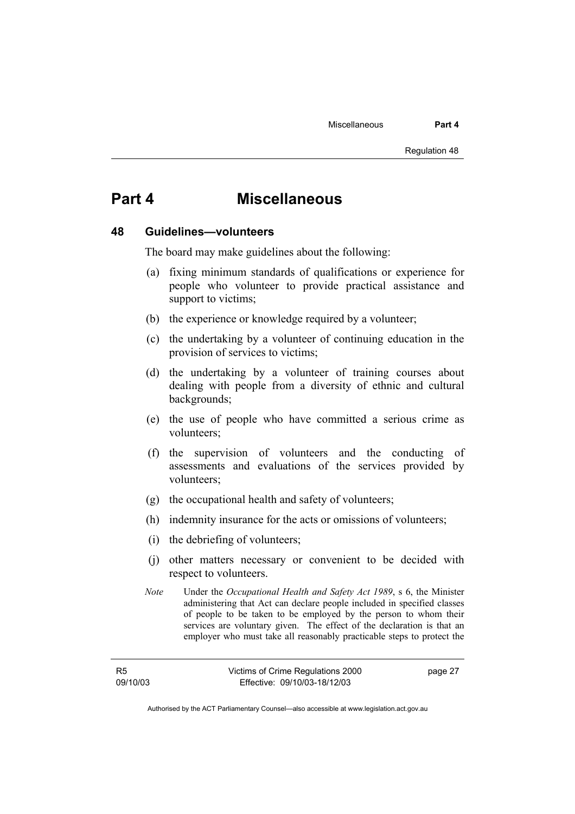# **Part 4 Miscellaneous**

#### **48 Guidelines—volunteers**

The board may make guidelines about the following:

- (a) fixing minimum standards of qualifications or experience for people who volunteer to provide practical assistance and support to victims;
- (b) the experience or knowledge required by a volunteer;
- (c) the undertaking by a volunteer of continuing education in the provision of services to victims;
- (d) the undertaking by a volunteer of training courses about dealing with people from a diversity of ethnic and cultural backgrounds;
- (e) the use of people who have committed a serious crime as volunteers;
- (f) the supervision of volunteers and the conducting of assessments and evaluations of the services provided by volunteers;
- (g) the occupational health and safety of volunteers;
- (h) indemnity insurance for the acts or omissions of volunteers;
- (i) the debriefing of volunteers;
- (j) other matters necessary or convenient to be decided with respect to volunteers.
- *Note* Under the *Occupational Health and Safety Act 1989*, s 6, the Minister administering that Act can declare people included in specified classes of people to be taken to be employed by the person to whom their services are voluntary given. The effect of the declaration is that an employer who must take all reasonably practicable steps to protect the

R5 09/10/03 page 27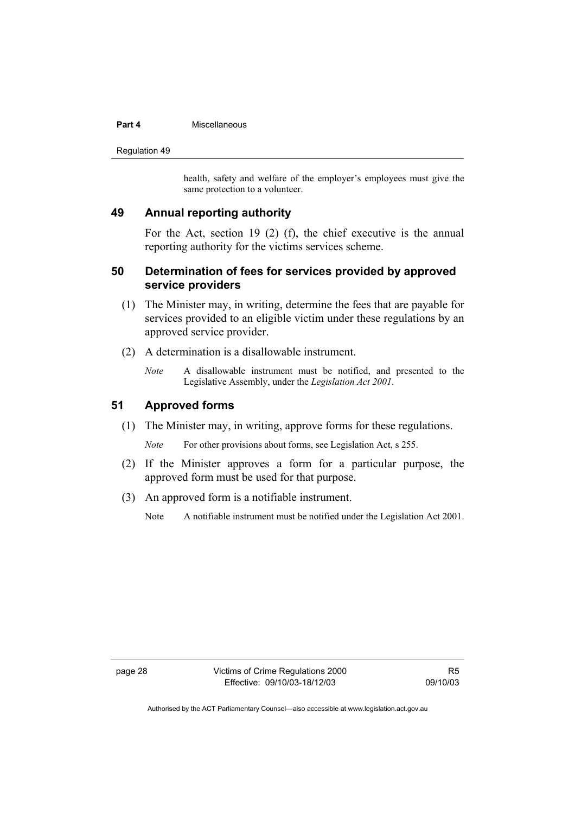#### **Part 4 Miscellaneous**

Regulation 49

health, safety and welfare of the employer's employees must give the same protection to a volunteer.

#### **49 Annual reporting authority**

For the Act, section 19 (2) (f), the chief executive is the annual reporting authority for the victims services scheme.

#### **50 Determination of fees for services provided by approved service providers**

- (1) The Minister may, in writing, determine the fees that are payable for services provided to an eligible victim under these regulations by an approved service provider.
- (2) A determination is a disallowable instrument.
	- *Note* A disallowable instrument must be notified, and presented to the Legislative Assembly, under the *Legislation Act 2001*.

#### **51 Approved forms**

(1) The Minister may, in writing, approve forms for these regulations.

*Note* For other provisions about forms, see Legislation Act, s 255.

- (2) If the Minister approves a form for a particular purpose, the approved form must be used for that purpose.
- (3) An approved form is a notifiable instrument.

Note A notifiable instrument must be notified under the Legislation Act 2001.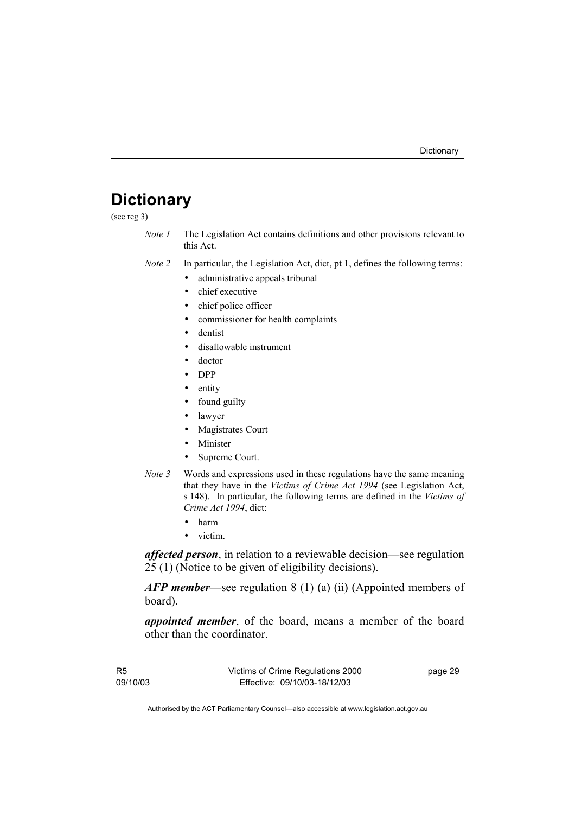# **Dictionary**

(see reg 3)

- *Note 1* The Legislation Act contains definitions and other provisions relevant to this Act.
- *Note 2* In particular, the Legislation Act, dict, pt 1, defines the following terms:
	- administrative appeals tribunal
	- chief executive
	- chief police officer
	- commissioner for health complaints
	- dentist
	- disallowable instrument
	- doctor
	- DPP
	- entity
	- found guilty
	- lawyer
	- Magistrates Court
	- Minister
	- Supreme Court.
- *Note 3* Words and expressions used in these regulations have the same meaning that they have in the *Victims of Crime Act 1994* (see Legislation Act, s 148). In particular, the following terms are defined in the *Victims of Crime Act 1994*, dict:
	- harm
	- victim.

*affected person*, in relation to a reviewable decision—see regulation 25 (1) (Notice to be given of eligibility decisions).

*AFP member*—see regulation 8 (1) (a) (ii) (Appointed members of board).

*appointed member*, of the board, means a member of the board other than the coordinator.

R5 09/10/03 Victims of Crime Regulations 2000 Effective: 09/10/03-18/12/03 page 29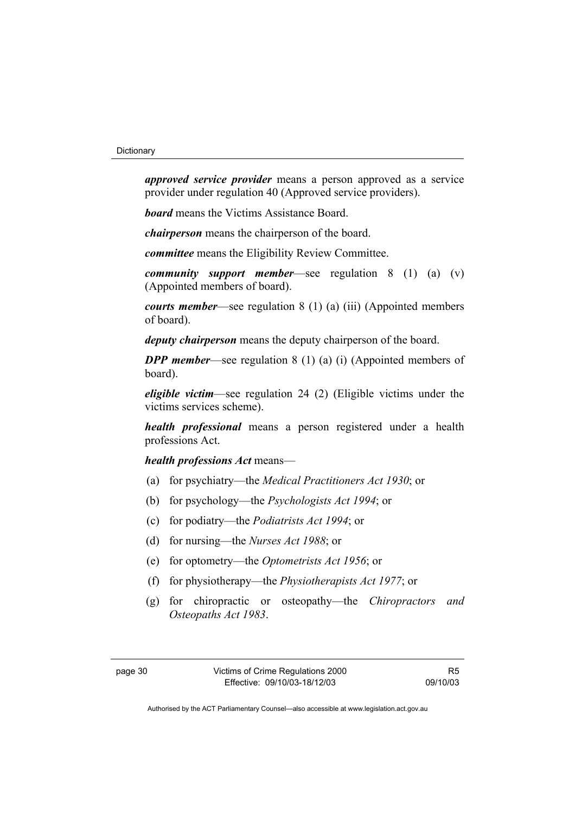*approved service provider* means a person approved as a service provider under regulation 40 (Approved service providers).

*board* means the Victims Assistance Board.

*chairperson* means the chairperson of the board.

*committee* means the Eligibility Review Committee.

*community support member*—see regulation 8 (1) (a) (v) (Appointed members of board).

*courts member*—see regulation 8 (1) (a) (iii) (Appointed members of board).

*deputy chairperson* means the deputy chairperson of the board.

*DPP member—see regulation 8 (1) (a) (i) (Appointed members of* board).

*eligible victim*—see regulation 24 (2) (Eligible victims under the victims services scheme).

*health professional* means a person registered under a health professions Act.

*health professions Act* means—

- (a) for psychiatry—the *Medical Practitioners Act 1930*; or
- (b) for psychology—the *Psychologists Act 1994*; or
- (c) for podiatry—the *Podiatrists Act 1994*; or
- (d) for nursing—the *Nurses Act 1988*; or
- (e) for optometry—the *Optometrists Act 1956*; or
- (f) for physiotherapy—the *Physiotherapists Act 1977*; or
- (g) for chiropractic or osteopathy—the *Chiropractors and Osteopaths Act 1983*.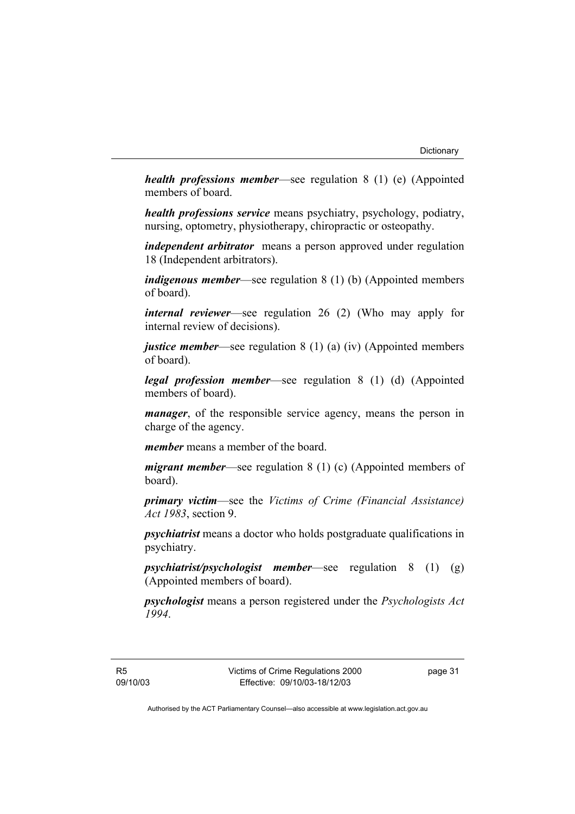*health professions member*—see regulation 8 (1) (e) (Appointed members of board.

*health professions service* means psychiatry, psychology, podiatry, nursing, optometry, physiotherapy, chiropractic or osteopathy.

*independent arbitrator* means a person approved under regulation 18 (Independent arbitrators).

*indigenous member*—see regulation 8 (1) (b) (Appointed members of board).

*internal reviewer*—see regulation 26 (2) (Who may apply for internal review of decisions).

*justice member*—see regulation 8 (1) (a) (iv) (Appointed members of board).

*legal profession member*—see regulation 8 (1) (d) (Appointed members of board).

*manager*, of the responsible service agency, means the person in charge of the agency.

*member* means a member of the board.

*migrant member*—see regulation 8 (1) (c) (Appointed members of board).

*primary victim*—see the *Victims of Crime (Financial Assistance) Act 1983*, section 9.

*psychiatrist* means a doctor who holds postgraduate qualifications in psychiatry.

*psychiatrist/psychologist member*—see regulation 8 (1) (g) (Appointed members of board).

*psychologist* means a person registered under the *Psychologists Act 1994*.

page 31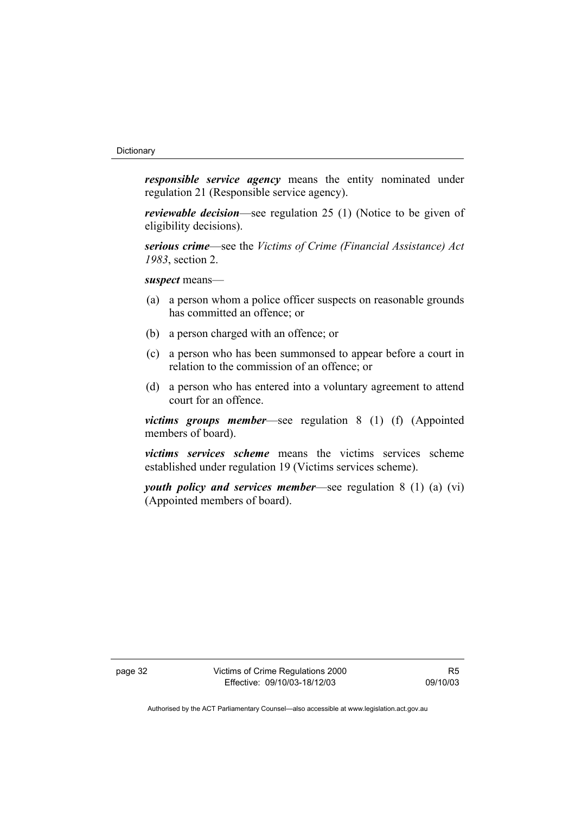*responsible service agency* means the entity nominated under regulation 21 (Responsible service agency).

*reviewable decision*—see regulation 25 (1) (Notice to be given of eligibility decisions).

*serious crime*—see the *Victims of Crime (Financial Assistance) Act 1983*, section 2.

*suspect* means—

- (a) a person whom a police officer suspects on reasonable grounds has committed an offence; or
- (b) a person charged with an offence; or
- (c) a person who has been summonsed to appear before a court in relation to the commission of an offence; or
- (d) a person who has entered into a voluntary agreement to attend court for an offence.

*victims groups member*—see regulation 8 (1) (f) (Appointed members of board).

*victims services scheme* means the victims services scheme established under regulation 19 (Victims services scheme).

*youth policy and services member*—see regulation 8 (1) (a) (vi) (Appointed members of board).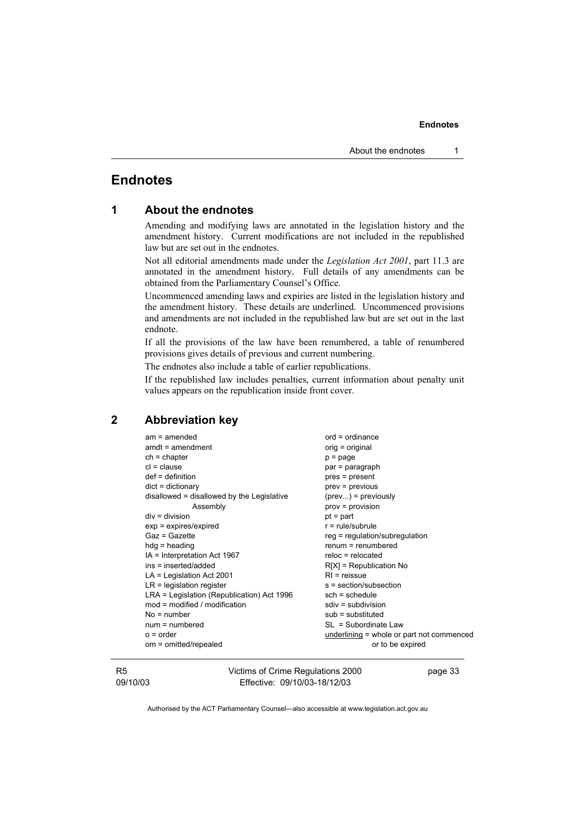### **Endnotes**

| 1 |  |  | <b>About the endnotes</b> |
|---|--|--|---------------------------|
|---|--|--|---------------------------|

Amending and modifying laws are annotated in the legislation history and the amendment history. Current modifications are not included in the republished law but are set out in the endnotes.

Not all editorial amendments made under the *Legislation Act 2001*, part 11.3 are annotated in the amendment history. Full details of any amendments can be obtained from the Parliamentary Counsel's Office.

Uncommenced amending laws and expiries are listed in the legislation history and the amendment history. These details are underlined. Uncommenced provisions and amendments are not included in the republished law but are set out in the last endnote.

If all the provisions of the law have been renumbered, a table of renumbered provisions gives details of previous and current numbering.

The endnotes also include a table of earlier republications.

If the republished law includes penalties, current information about penalty unit values appears on the republication inside front cover.

#### **2 Abbreviation key**

| $am = amended$                             | $ord = ordinance$                         |
|--------------------------------------------|-------------------------------------------|
| $amdt = amendment$                         | orig = original                           |
| $ch = chapter$                             | $p = page$                                |
| $cl = clause$                              | par = paragraph                           |
| $def = definition$                         | pres = present                            |
| $dict = dictionary$                        | $prev = previous$                         |
| disallowed = disallowed by the Legislative | $(\text{prev})$ = previously              |
| Assembly                                   | $prov = provision$                        |
| $div = division$                           | $pt = part$                               |
| $exp = expires/expired$                    | $r = rule/subrule$                        |
| Gaz = Gazette                              | reg = regulation/subregulation            |
| $hdg =$ heading                            | $renum = renumbered$                      |
| IA = Interpretation Act 1967               | $reloc = relocated$                       |
| ins = inserted/added                       | $R[X]$ = Republication No                 |
| $LA =$ Legislation Act 2001                | $RI = reissue$                            |
| $LR =$ legislation register                | s = section/subsection                    |
| LRA = Legislation (Republication) Act 1996 | $sch = schedule$                          |
| $mod = modified / modified$                | $sdiv = subdivision$                      |
| $No = number$                              | $sub =$ substituted                       |
| $num = numbered$                           | $SL = Subordinate Law$                    |
| $o = order$                                | underlining = whole or part not commenced |
| om = omitted/repealed                      | or to be expired                          |
|                                            |                                           |

R5 09/10/03 Victims of Crime Regulations 2000 Effective: 09/10/03-18/12/03

page 33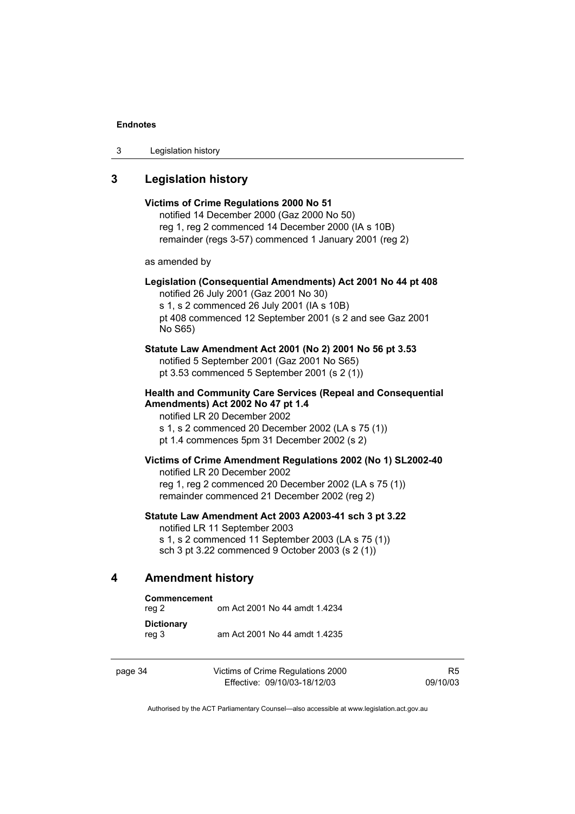3 Legislation history

#### **3 Legislation history**

## **Victims of Crime Regulations 2000 No 51**  notified 14 December 2000 (Gaz 2000 No 50) reg 1, reg 2 commenced 14 December 2000 (IA s 10B) remainder (regs 3-57) commenced 1 January 2001 (reg 2) as amended by **Legislation (Consequential Amendments) Act 2001 No 44 pt 408**  notified 26 July 2001 (Gaz 2001 No 30) s 1, s 2 commenced 26 July 2001 (IA s 10B) pt 408 commenced 12 September 2001 (s 2 and see Gaz 2001 No S65) **Statute Law Amendment Act 2001 (No 2) 2001 No 56 pt 3.53**  notified 5 September 2001 (Gaz 2001 No S65) pt 3.53 commenced 5 September 2001 (s 2 (1)) **Health and Community Care Services (Repeal and Consequential Amendments) Act 2002 No 47 pt 1.4**  notified LR 20 December 2002 s 1, s 2 commenced 20 December 2002 (LA s 75 (1)) pt 1.4 commences 5pm 31 December 2002 (s 2) **Victims of Crime Amendment Regulations 2002 (No 1) SL2002-40**  notified LR 20 December 2002 reg 1, reg 2 commenced 20 December 2002 (LA s 75 (1)) remainder commenced 21 December 2002 (reg 2) **Statute Law Amendment Act 2003 A2003-41 sch 3 pt 3.22**  notified LR 11 September 2003 s 1, s 2 commenced 11 September 2003 (LA s 75 (1)) sch 3 pt 3.22 commenced 9 October 2003 (s 2 (1))

#### **4 Amendment history**

| Commencement<br>reg 2      | om Act 2001 No 44 amdt 1.4234 |
|----------------------------|-------------------------------|
| <b>Dictionary</b><br>reg 3 | am Act 2001 No 44 amdt 1.4235 |

| page 34 | Victims of Crime Regulations 2000 |
|---------|-----------------------------------|
|         | Effective: 09/10/03-18/12/03      |

R5 09/10/03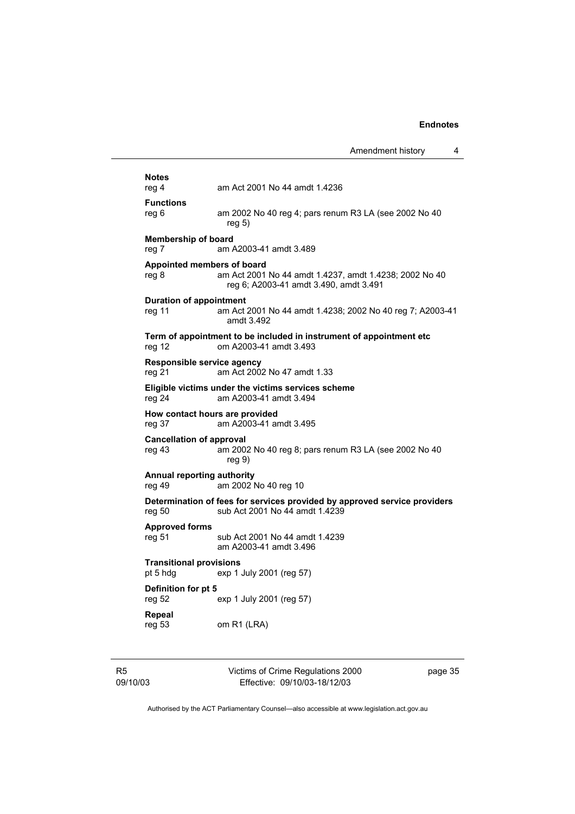|                            |                                            |                                                                                                             | Amendment history | 4       |
|----------------------------|--------------------------------------------|-------------------------------------------------------------------------------------------------------------|-------------------|---------|
|                            | <b>Notes</b><br>reg 4                      | am Act 2001 No 44 amdt 1.4236                                                                               |                   |         |
|                            | <b>Functions</b><br>reg 6                  | am 2002 No 40 reg 4; pars renum R3 LA (see 2002 No 40<br>reg 5)                                             |                   |         |
|                            | <b>Membership of board</b><br>reg 7        | am A2003-41 amdt 3.489                                                                                      |                   |         |
|                            | Appointed members of board<br>reg 8        | am Act 2001 No 44 amdt 1.4237, amdt 1.4238; 2002 No 40<br>reg 6; A2003-41 amdt 3.490, amdt 3.491            |                   |         |
|                            | <b>Duration of appointment</b><br>reg 11   | am Act 2001 No 44 amdt 1.4238; 2002 No 40 reg 7; A2003-41<br>amdt 3.492                                     |                   |         |
|                            | reg 12                                     | Term of appointment to be included in instrument of appointment etc<br>om A2003-41 amdt 3.493               |                   |         |
|                            | Responsible service agency<br>reg 21       | am Act 2002 No 47 amdt 1.33                                                                                 |                   |         |
|                            | reg 24                                     | Eligible victims under the victims services scheme<br>am A2003-41 amdt 3.494                                |                   |         |
|                            | How contact hours are provided<br>reg 37   | am A2003-41 amdt 3.495                                                                                      |                   |         |
|                            | <b>Cancellation of approval</b><br>reg 43  | am 2002 No 40 reg 8; pars renum R3 LA (see 2002 No 40<br>reg <sub>9</sub>                                   |                   |         |
|                            | Annual reporting authority<br>reg 49       | am 2002 No 40 reg 10                                                                                        |                   |         |
|                            | reg 50                                     | Determination of fees for services provided by approved service providers<br>sub Act 2001 No 44 amdt 1.4239 |                   |         |
|                            | <b>Approved forms</b><br>reg 51            | sub Act 2001 No 44 amdt 1.4239<br>am A2003-41 amdt 3.496                                                    |                   |         |
|                            | <b>Transitional provisions</b><br>pt 5 hdg | exp 1 July 2001 (reg 57)                                                                                    |                   |         |
|                            | Definition for pt 5<br>reg 52              | exp 1 July 2001 (reg 57)                                                                                    |                   |         |
|                            | Repeal<br>reg 53                           | om R1 (LRA)                                                                                                 |                   |         |
| R <sub>5</sub><br>09/10/03 |                                            | Victims of Crime Regulations 2000<br>Effective: 09/10/03-18/12/03                                           |                   | page 35 |